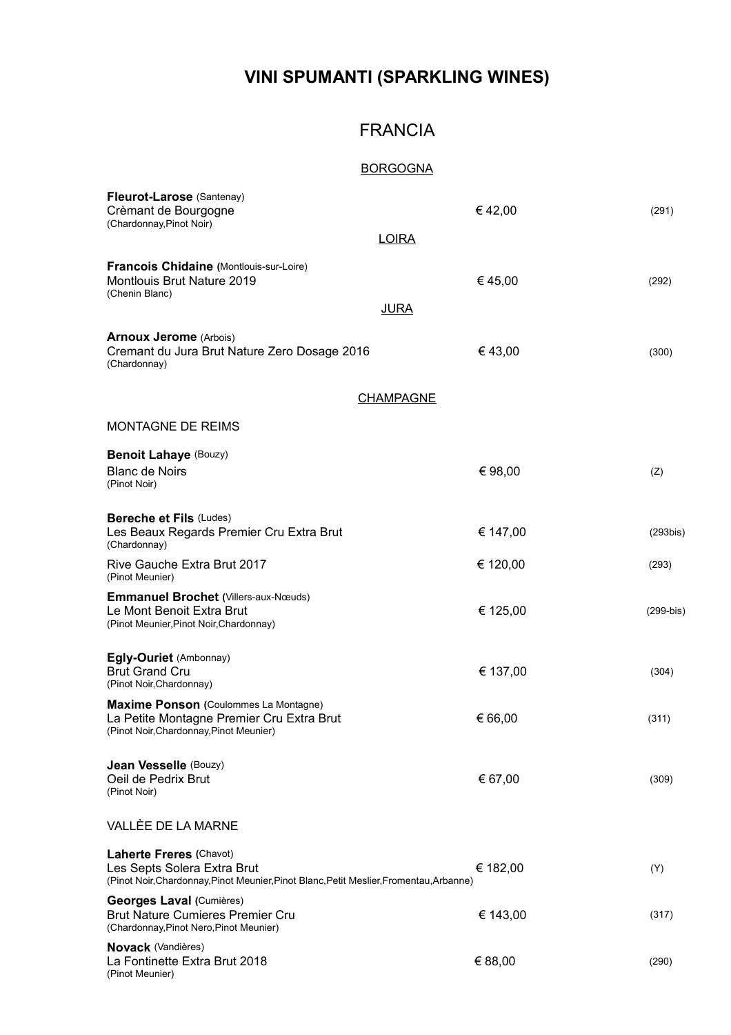## **VINI SPUMANTI (SPARKLING WINES)**

### FRANCIA

### BORGOGNA

| Fleurot-Larose (Santenay)<br>Crèmant de Bourgogne<br>(Chardonnay, Pinot Noir)                                                                            | €42,00   | (291)       |
|----------------------------------------------------------------------------------------------------------------------------------------------------------|----------|-------------|
| <b>LOIRA</b>                                                                                                                                             |          |             |
| <b>Francois Chidaine (Montlouis-sur-Loire)</b><br><b>Montlouis Brut Nature 2019</b><br>(Chenin Blanc)                                                    | €45,00   | (292)       |
| <b>JURA</b>                                                                                                                                              |          |             |
| <b>Arnoux Jerome</b> (Arbois)<br>Cremant du Jura Brut Nature Zero Dosage 2016<br>(Chardonnay)                                                            | €43,00   | (300)       |
| <b>CHAMPAGNE</b>                                                                                                                                         |          |             |
| <b>MONTAGNE DE REIMS</b>                                                                                                                                 |          |             |
| <b>Benoit Lahaye (Bouzy)</b>                                                                                                                             |          |             |
| <b>Blanc de Noirs</b><br>(Pinot Noir)                                                                                                                    | € 98,00  | (Z)         |
| <b>Bereche et Fils (Ludes)</b><br>Les Beaux Regards Premier Cru Extra Brut<br>(Chardonnay)                                                               | € 147,00 | $(293$ bis) |
| Rive Gauche Extra Brut 2017<br>(Pinot Meunier)                                                                                                           | € 120,00 | (293)       |
| <b>Emmanuel Brochet (Villers-aux-Nœuds)</b><br>Le Mont Benoit Extra Brut<br>(Pinot Meunier, Pinot Noir, Chardonnay)                                      | € 125,00 | $(299-bis)$ |
| Egly-Ouriet (Ambonnay)<br><b>Brut Grand Cru</b><br>(Pinot Noir, Chardonnay)                                                                              | € 137,00 | (304)       |
| <b>Maxime Ponson (Coulommes La Montagne)</b><br>La Petite Montagne Premier Cru Extra Brut<br>(Pinot Noir, Chardonnay, Pinot Meunier)                     | € 66,00  | (311)       |
| <b>Jean Vesselle (Bouzy)</b><br>Oeil de Pedrix Brut<br>(Pinot Noir)                                                                                      | € 67,00  | (309)       |
| VALLÈE DE LA MARNE                                                                                                                                       |          |             |
| <b>Laherte Freres (Chavot)</b><br>Les Septs Solera Extra Brut<br>(Pinot Noir, Chardonnay, Pinot Meunier, Pinot Blanc, Petit Meslier, Fromentau, Arbanne) | € 182,00 | (Y)         |
| Georges Laval (Cumières)<br><b>Brut Nature Cumieres Premier Cru</b><br>(Chardonnay, Pinot Nero, Pinot Meunier)                                           | € 143,00 | (317)       |
| <b>Novack</b> (Vandières)<br>La Fontinette Extra Brut 2018<br>(Pinot Meunier)                                                                            | € 88,00  | (290)       |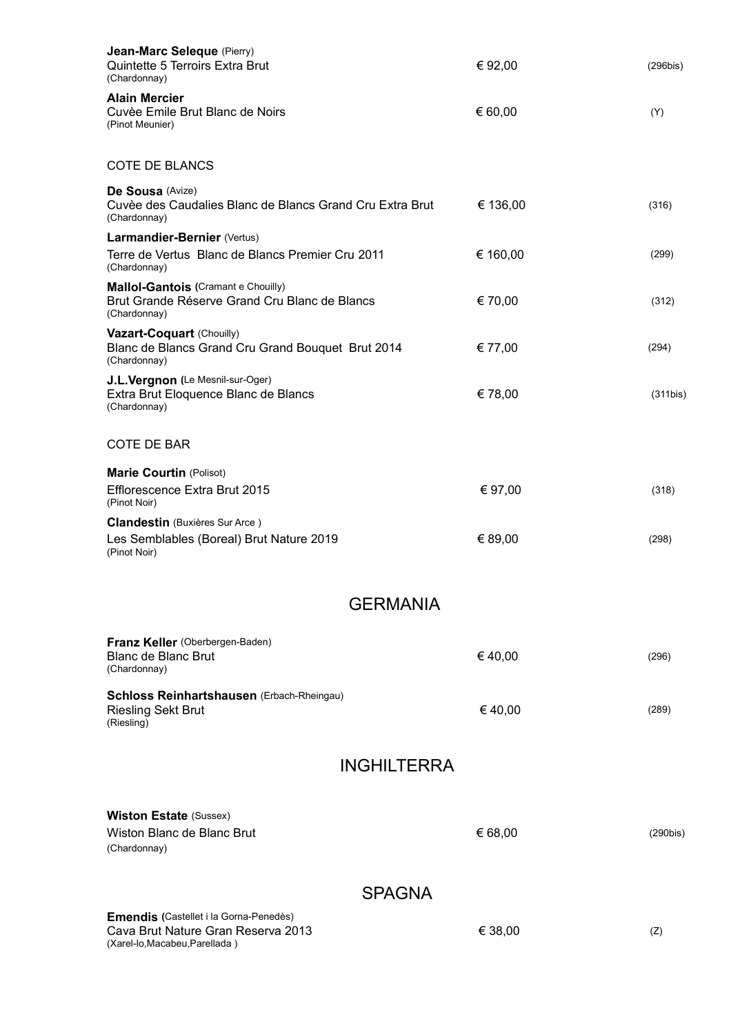| Jean-Marc Seleque (Pierry)<br>Quintette 5 Terroirs Extra Brut<br>(Chardonnay)                                  | € 92,00  | (296bis) |
|----------------------------------------------------------------------------------------------------------------|----------|----------|
| <b>Alain Mercier</b><br>Cuvèe Emile Brut Blanc de Noirs<br>(Pinot Meunier)                                     | € 60,00  | (Y)      |
| <b>COTE DE BLANCS</b>                                                                                          |          |          |
| De Sousa (Avize)<br>Cuvèe des Caudalies Blanc de Blancs Grand Cru Extra Brut<br>(Chardonnay)                   | € 136,00 | (316)    |
| Larmandier-Bernier (Vertus)<br>Terre de Vertus Blanc de Blancs Premier Cru 2011<br>(Chardonnay)                | € 160,00 | (299)    |
| Mallol-Gantois (Cramant e Chouilly)<br>Brut Grande Réserve Grand Cru Blanc de Blancs<br>(Chardonnay)           | € 70,00  | (312)    |
| Vazart-Coquart (Chouilly)<br>Blanc de Blancs Grand Cru Grand Bouquet Brut 2014<br>(Chardonnay)                 | € 77,00  | (294)    |
| J.L.Vergnon (Le Mesnil-sur-Oger)<br>Extra Brut Eloquence Blanc de Blancs<br>(Chardonnay)                       | € 78,00  | (311bis) |
| <b>COTE DE BAR</b>                                                                                             |          |          |
| <b>Marie Courtin (Polisot)</b><br>Efflorescence Extra Brut 2015<br>(Pinot Noir)                                | € 97,00  | (318)    |
| <b>Clandestin</b> (Buxières Sur Arce)<br>Les Semblables (Boreal) Brut Nature 2019<br>(Pinot Noir)              | € 89,00  | (298)    |
| <b>GERMANIA</b>                                                                                                |          |          |
| Franz Keller (Oberbergen-Baden)                                                                                |          |          |
| <b>Blanc de Blanc Brut</b><br>(Chardonnay)                                                                     | €40,00   | (296)    |
| Schloss Reinhartshausen (Erbach-Rheingau)<br><b>Riesling Sekt Brut</b><br>(Riesling)                           | €40,00   | (289)    |
| <b>INGHILTERRA</b>                                                                                             |          |          |
|                                                                                                                |          |          |
| <b>Wiston Estate (Sussex)</b><br>Wiston Blanc de Blanc Brut<br>(Chardonnay)                                    | € 68,00  | (290bis) |
| <b>SPAGNA</b>                                                                                                  |          |          |
| Emendis (Castellet i la Gorna-Penedès)<br>Cava Brut Nature Gran Reserva 2013<br>(Xarel-lo, Macabeu, Parellada) | € 38,00  | (Z)      |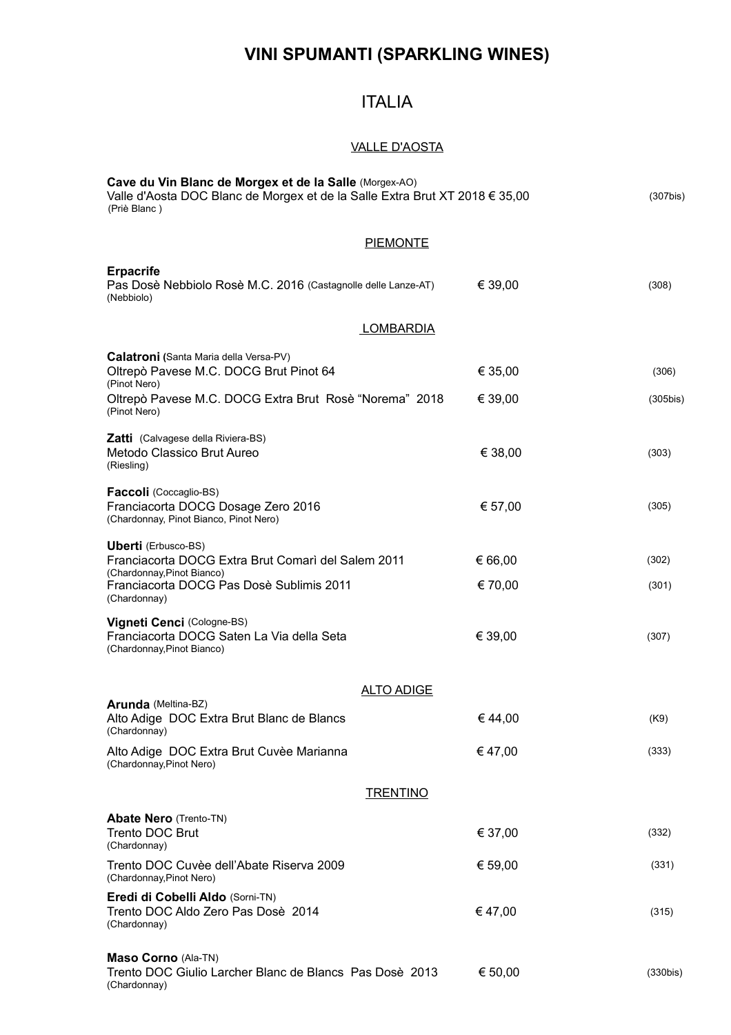## **VINI SPUMANTI (SPARKLING WINES)**

### ITALIA

### VALLE D'AOSTA

| Cave du Vin Blanc de Morgex et de la Salle (Morgex-AO)<br>Valle d'Aosta DOC Blanc de Morgex et de la Salle Extra Brut XT 2018 € 35,00<br>(Priè Blanc)                      |                    | $(307$ bis)          |
|----------------------------------------------------------------------------------------------------------------------------------------------------------------------------|--------------------|----------------------|
| <b>PIEMONTE</b>                                                                                                                                                            |                    |                      |
| <b>Erpacrife</b><br>Pas Dosè Nebbiolo Rosè M.C. 2016 (Castagnolle delle Lanze-AT)<br>(Nebbiolo)                                                                            | € 39,00            | (308)                |
| <b>LOMBARDIA</b>                                                                                                                                                           |                    |                      |
| <b>Calatroni</b> (Santa Maria della Versa-PV)<br>Oltrepò Pavese M.C. DOCG Brut Pinot 64<br>(Pinot Nero)<br>Oltrepò Pavese M.C. DOCG Extra Brut Rosè "Norema" 2018          | € 35,00<br>€ 39,00 | (306)<br>$(305$ bis) |
| (Pinot Nero)<br><b>Zatti</b> (Calvagese della Riviera-BS)<br>Metodo Classico Brut Aureo<br>(Riesling)                                                                      | € 38,00            | (303)                |
| Faccoli (Coccaglio-BS)<br>Franciacorta DOCG Dosage Zero 2016<br>(Chardonnay, Pinot Bianco, Pinot Nero)                                                                     | € 57,00            | (305)                |
| <b>Uberti</b> (Erbusco-BS)<br>Franciacorta DOCG Extra Brut Comarì del Salem 2011<br>(Chardonnay, Pinot Bianco)<br>Franciacorta DOCG Pas Dosè Sublimis 2011<br>(Chardonnay) | € 66,00<br>€ 70,00 | (302)<br>(301)       |
| Vigneti Cenci (Cologne-BS)<br>Franciacorta DOCG Saten La Via della Seta<br>(Chardonnay, Pinot Bianco)                                                                      | € 39,00            | (307)                |
| <b>ALTO ADIGE</b>                                                                                                                                                          |                    |                      |
| Arunda (Meltina-BZ)<br>Alto Adige DOC Extra Brut Blanc de Blancs<br>(Chardonnay)                                                                                           | €44.00             | (K9)                 |
| Alto Adige DOC Extra Brut Cuvèe Marianna<br>(Chardonnay, Pinot Nero)                                                                                                       | €47,00             | (333)                |
| <b>TRENTINO</b>                                                                                                                                                            |                    |                      |
| <b>Abate Nero (Trento-TN)</b><br><b>Trento DOC Brut</b><br>(Chardonnay)                                                                                                    | € 37,00            | (332)                |
| Trento DOC Cuvèe dell'Abate Riserva 2009<br>(Chardonnay, Pinot Nero)                                                                                                       | € 59,00            | (331)                |
| Eredi di Cobelli Aldo (Sorni-TN)<br>Trento DOC Aldo Zero Pas Dosè 2014<br>(Chardonnay)                                                                                     | € 47,00            | (315)                |
| Maso Corno (Ala-TN)<br>Trento DOC Giulio Larcher Blanc de Blancs Pas Dosè 2013<br>(Chardonnay)                                                                             | € 50,00            | (330bis)             |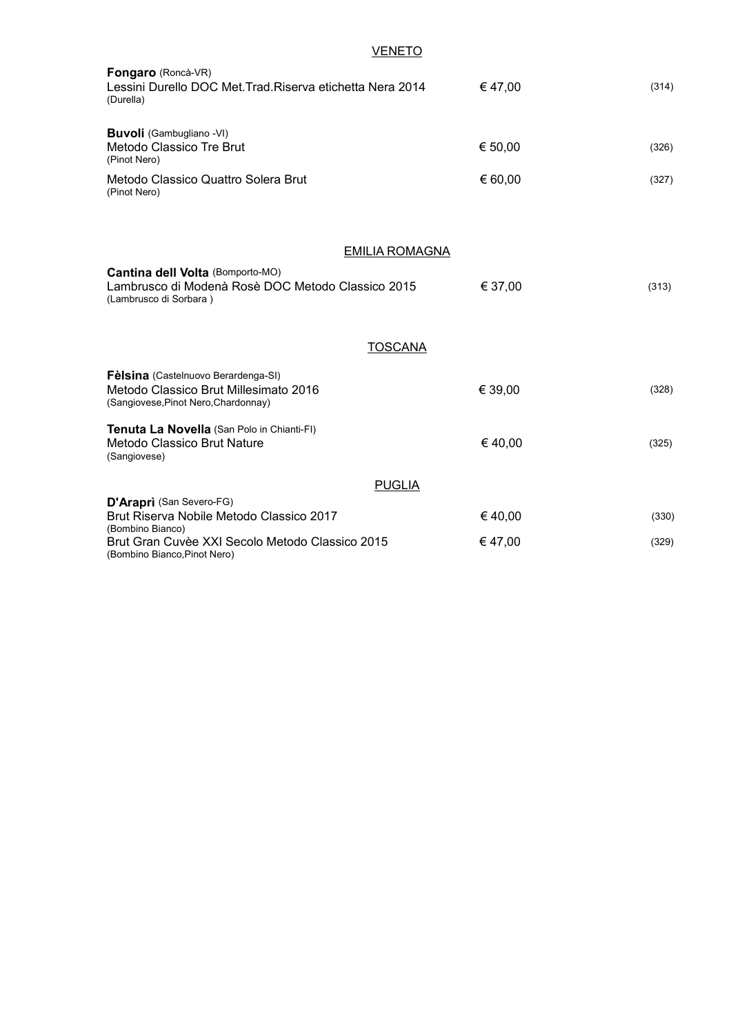| <b>VENETO</b>                                                                                                                                   |         |       |
|-------------------------------------------------------------------------------------------------------------------------------------------------|---------|-------|
| Fongaro (Roncà-VR)<br>Lessini Durello DOC Met. Trad. Riserva etichetta Nera 2014<br>(Durella)                                                   | €47,00  | (314) |
| <b>Buvoli</b> (Gambugliano -VI)<br>Metodo Classico Tre Brut<br>(Pinot Nero)                                                                     | € 50,00 | (326) |
| Metodo Classico Quattro Solera Brut<br>(Pinot Nero)                                                                                             | € 60,00 | (327) |
| <b>EMILIA ROMAGNA</b><br><b>Cantina dell Volta (Bomporto-MO)</b><br>Lambrusco di Modenà Rosè DOC Metodo Classico 2015<br>(Lambrusco di Sorbara) | € 37,00 | (313) |
| <b>TOSCANA</b>                                                                                                                                  |         |       |
| Fèlsina (Castelnuovo Berardenga-SI)<br>Metodo Classico Brut Millesimato 2016<br>(Sangiovese, Pinot Nero, Chardonnay)                            | € 39,00 | (328) |
| Tenuta La Novella (San Polo in Chianti-FI)<br>Metodo Classico Brut Nature<br>(Sangiovese)                                                       | €40,00  | (325) |
| <b>PUGLIA</b>                                                                                                                                   |         |       |
| D'Araprì (San Severo-FG)<br>Brut Riserva Nobile Metodo Classico 2017<br>(Bombino Bianco)                                                        | €40,00  | (330) |
| Brut Gran Cuvèe XXI Secolo Metodo Classico 2015<br>(Bombino Bianco, Pinot Nero)                                                                 | €47,00  | (329) |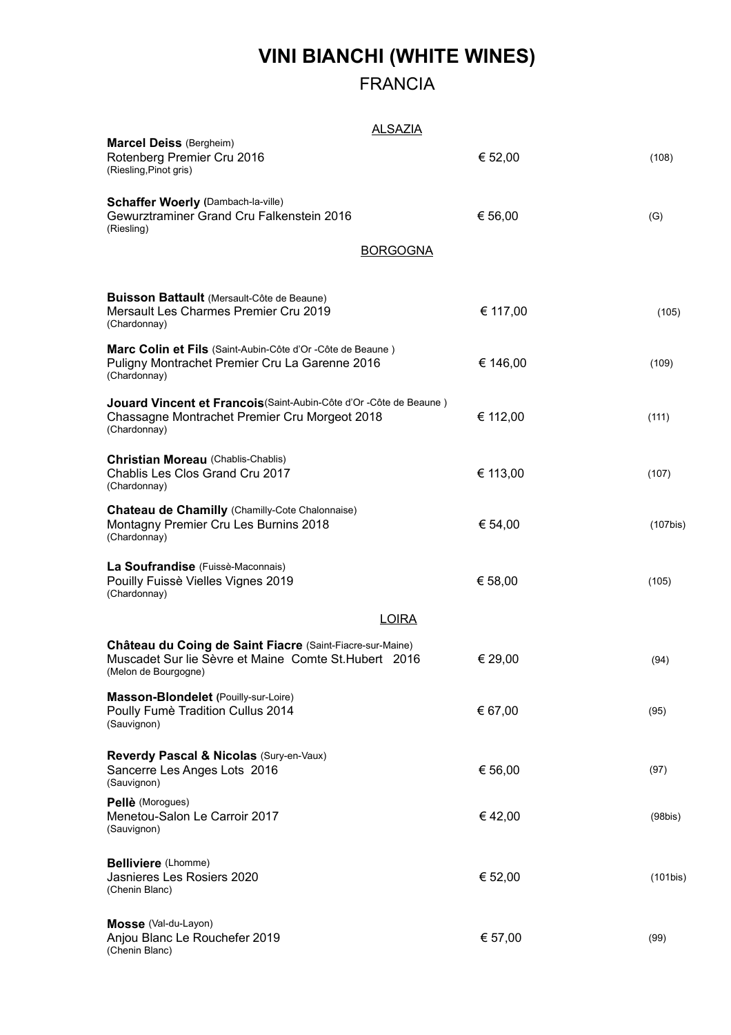# **VINI BIANCHI (WHITE WINES)**

## FRANCIA

#### ALSAZIA

| <u>ALUALIA</u>                                                                                                                             |          |             |
|--------------------------------------------------------------------------------------------------------------------------------------------|----------|-------------|
| <b>Marcel Deiss (Bergheim)</b><br>Rotenberg Premier Cru 2016<br>(Riesling, Pinot gris)                                                     | € 52,00  | (108)       |
| <b>Schaffer Woerly (Dambach-la-ville)</b><br>Gewurztraminer Grand Cru Falkenstein 2016<br>(Riesling)                                       | € 56,00  | (G)         |
| <b>BORGOGNA</b>                                                                                                                            |          |             |
| <b>Buisson Battault</b> (Mersault-Côte de Beaune)<br>Mersault Les Charmes Premier Cru 2019<br>(Chardonnay)                                 | € 117,00 | (105)       |
| Marc Colin et Fils (Saint-Aubin-Côte d'Or -Côte de Beaune)<br>Puligny Montrachet Premier Cru La Garenne 2016<br>(Chardonnay)               | € 146,00 | (109)       |
| Jouard Vincent et Francois (Saint-Aubin-Côte d'Or -Côte de Beaune)<br>Chassagne Montrachet Premier Cru Morgeot 2018<br>(Chardonnay)        | € 112,00 | (111)       |
| <b>Christian Moreau (Chablis-Chablis)</b><br>Chablis Les Clos Grand Cru 2017<br>(Chardonnay)                                               | € 113,00 | (107)       |
| <b>Chateau de Chamilly (Chamilly-Cote Chalonnaise)</b><br>Montagny Premier Cru Les Burnins 2018<br>(Chardonnay)                            | € 54,00  | $(107$ bis) |
| La Soufrandise (Fuissè-Maconnais)<br>Pouilly Fuissè Vielles Vignes 2019<br>(Chardonnay)                                                    | € 58,00  | (105)       |
| <b>LOIRA</b>                                                                                                                               |          |             |
| Château du Coing de Saint Fiacre (Saint-Fiacre-sur-Maine)<br>Muscadet Sur lie Sèvre et Maine Comte St. Hubert 2016<br>(Melon de Bourgogne) | € 29,00  | (94)        |
| Masson-Blondelet (Pouilly-sur-Loire)<br>Poully Fumè Tradition Cullus 2014<br>(Sauvignon)                                                   | € 67,00  | (95)        |
| Reverdy Pascal & Nicolas (Sury-en-Vaux)<br>Sancerre Les Anges Lots 2016<br>(Sauvignon)                                                     | € 56,00  | (97)        |
| Pellè (Morogues)<br>Menetou-Salon Le Carroir 2017<br>(Sauvignon)                                                                           | €42,00   | (98bis)     |
| <b>Belliviere</b> (Lhomme)<br>Jasnieres Les Rosiers 2020<br>(Chenin Blanc)                                                                 | € 52,00  | (101bis)    |
| Mosse (Val-du-Layon)<br>Anjou Blanc Le Rouchefer 2019<br>(Chenin Blanc)                                                                    | € 57,00  | (99)        |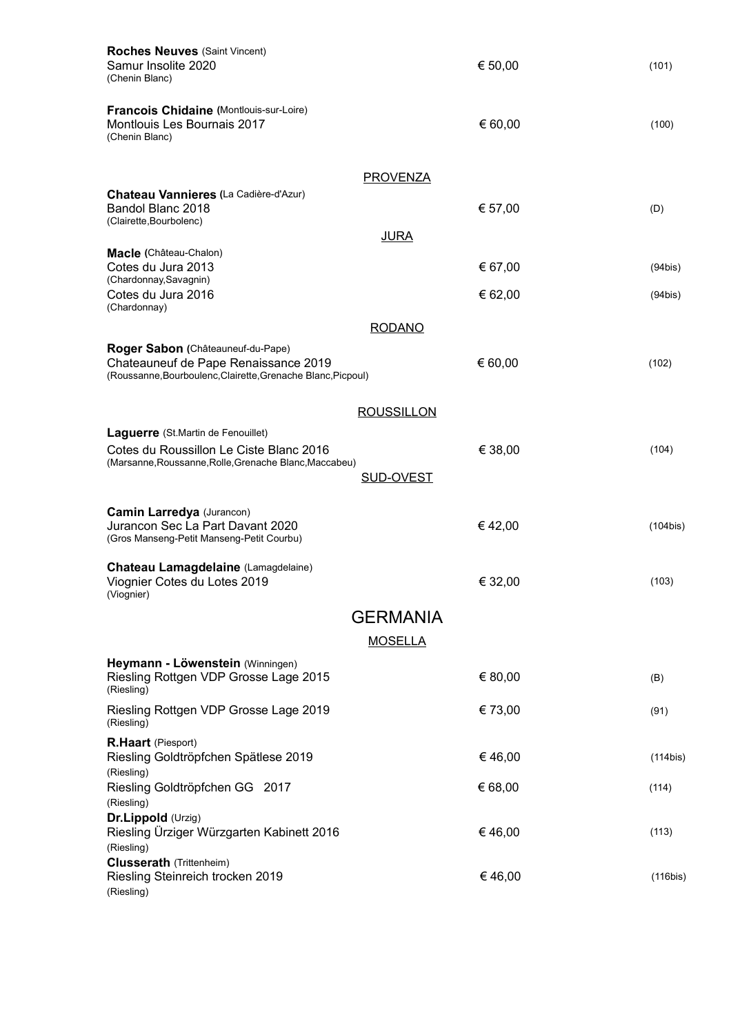| <b>Roches Neuves (Saint Vincent)</b>                                                                                                      |                   |         |             |
|-------------------------------------------------------------------------------------------------------------------------------------------|-------------------|---------|-------------|
| Samur Insolite 2020<br>(Chenin Blanc)                                                                                                     |                   | € 50,00 | (101)       |
| Francois Chidaine (Montlouis-sur-Loire)<br>Montlouis Les Bournais 2017<br>(Chenin Blanc)                                                  |                   | € 60,00 | (100)       |
|                                                                                                                                           | <b>PROVENZA</b>   |         |             |
| Chateau Vannieres (La Cadière-d'Azur)<br>Bandol Blanc 2018<br>(Clairette, Bourbolenc)                                                     |                   | € 57,00 | (D)         |
|                                                                                                                                           | <b>JURA</b>       |         |             |
| Macle (Château-Chalon)<br>Cotes du Jura 2013<br>(Chardonnay, Savagnin)                                                                    |                   | € 67,00 | (94bis)     |
| Cotes du Jura 2016<br>(Chardonnay)                                                                                                        |                   | € 62,00 | (94bis)     |
|                                                                                                                                           | <b>RODANO</b>     |         |             |
| Roger Sabon (Châteauneuf-du-Pape)<br>Chateauneuf de Pape Renaissance 2019<br>(Roussanne, Bourboulenc, Clairette, Grenache Blanc, Picpoul) |                   | € 60,00 | (102)       |
|                                                                                                                                           | <b>ROUSSILLON</b> |         |             |
| Laguerre (St.Martin de Fenouillet)                                                                                                        |                   |         |             |
| Cotes du Roussillon Le Ciste Blanc 2016<br>(Marsanne, Roussanne, Rolle, Grenache Blanc, Maccabeu)                                         | <b>SUD-OVEST</b>  | € 38,00 | (104)       |
| <b>Camin Larredya (Jurancon)</b>                                                                                                          |                   |         |             |
| Jurancon Sec La Part Davant 2020<br>(Gros Manseng-Petit Manseng-Petit Courbu)                                                             |                   | €42,00  | $(104$ bis) |
| Chateau Lamagdelaine (Lamagdelaine)<br>Viognier Cotes du Lotes 2019<br>(Viognier)                                                         |                   | € 32,00 | (103)       |
|                                                                                                                                           | <b>GERMANIA</b>   |         |             |
|                                                                                                                                           | <b>MOSELLA</b>    |         |             |
| Heymann - Löwenstein (Winningen)<br>Riesling Rottgen VDP Grosse Lage 2015<br>(Riesling)                                                   |                   | € 80,00 | (B)         |
| Riesling Rottgen VDP Grosse Lage 2019<br>(Riesling)                                                                                       |                   | € 73,00 | (91)        |
| R.Haart (Piesport)<br>Riesling Goldtröpfchen Spätlese 2019                                                                                |                   | €46,00  | $(114$ bis) |
| (Riesling)<br>Riesling Goldtröpfchen GG 2017<br>(Riesling)                                                                                |                   | € 68,00 | (114)       |
| Dr.Lippold (Urzig)<br>Riesling Ürziger Würzgarten Kabinett 2016<br>(Riesling)                                                             |                   | €46,00  | (113)       |
| <b>Clusserath</b> (Trittenheim)<br>Riesling Steinreich trocken 2019<br>(Riesling)                                                         |                   | €46,00  | $(116$ bis) |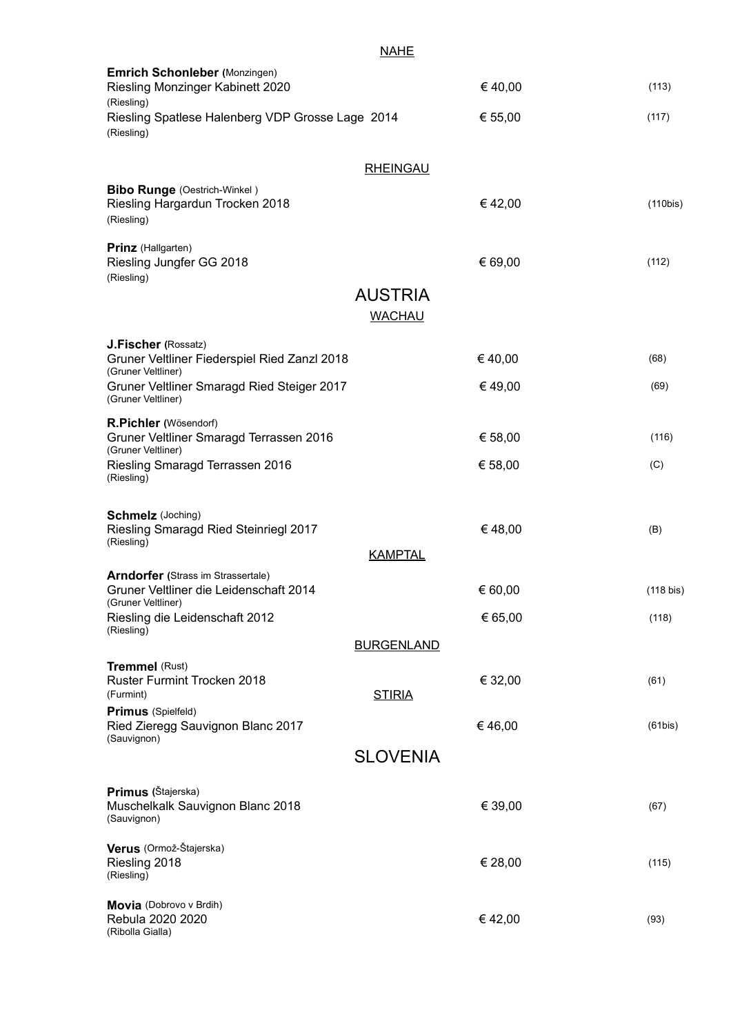| (113)<br>(117)<br>(110bis)<br>(112) |
|-------------------------------------|
|                                     |
|                                     |
|                                     |
|                                     |
|                                     |
|                                     |
| (68)                                |
| (69)                                |
| (116)                               |
| (C)                                 |
| (B)                                 |
|                                     |
| (118 bis)                           |
| (118)                               |
|                                     |
| (61)                                |
| (61bis)                             |
|                                     |
| (67)                                |
| (115)                               |
| (93)                                |
|                                     |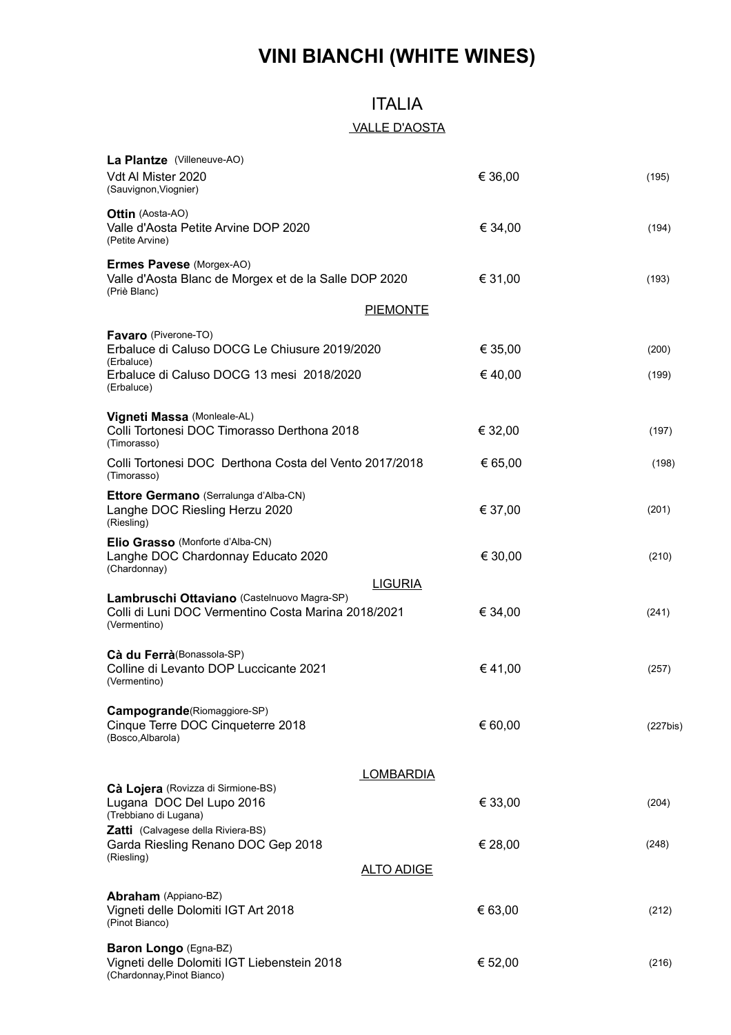# **VINI BIANCHI (WHITE WINES)**

### ITALIA

### VALLE D'AOSTA

| La Plantze (Villeneuve-AO)<br>Vdt Al Mister 2020<br>(Sauvignon, Viognier)                                          |                   | € 36,00 | (195)       |
|--------------------------------------------------------------------------------------------------------------------|-------------------|---------|-------------|
| <b>Ottin</b> (Aosta-AO)<br>Valle d'Aosta Petite Arvine DOP 2020<br>(Petite Arvine)                                 |                   | € 34,00 | (194)       |
| Ermes Pavese (Morgex-AO)<br>Valle d'Aosta Blanc de Morgex et de la Salle DOP 2020<br>(Priè Blanc)                  |                   | € 31,00 | (193)       |
|                                                                                                                    | <b>PIEMONTE</b>   |         |             |
| Favaro (Piverone-TO)<br>Erbaluce di Caluso DOCG Le Chiusure 2019/2020<br>(Erbaluce)                                |                   | € 35,00 | (200)       |
| Erbaluce di Caluso DOCG 13 mesi 2018/2020<br>(Erbaluce)                                                            |                   | € 40,00 | (199)       |
| Vigneti Massa (Monleale-AL)<br>Colli Tortonesi DOC Timorasso Derthona 2018<br>(Timorasso)                          |                   | € 32,00 | (197)       |
| Colli Tortonesi DOC Derthona Costa del Vento 2017/2018<br>(Timorasso)                                              |                   | € 65,00 | (198)       |
| <b>Ettore Germano</b> (Serralunga d'Alba-CN)<br>Langhe DOC Riesling Herzu 2020<br>(Riesling)                       |                   | € 37,00 | (201)       |
| Elio Grasso (Monforte d'Alba-CN)<br>Langhe DOC Chardonnay Educato 2020<br>(Chardonnay)                             |                   | € 30,00 | (210)       |
| Lambruschi Ottaviano (Castelnuovo Magra-SP)<br>Colli di Luni DOC Vermentino Costa Marina 2018/2021<br>(Vermentino) | <b>LIGURIA</b>    | € 34,00 | (241)       |
| Cà du Ferrà (Bonassola-SP)<br>Colline di Levanto DOP Luccicante 2021<br>(Vermentino)                               |                   | €41,00  | (257)       |
| Campogrande(Riomaggiore-SP)<br>Cinque Terre DOC Cinqueterre 2018<br>(Bosco, Albarola)                              |                   | € 60,00 | $(227$ bis) |
|                                                                                                                    | <b>LOMBARDIA</b>  |         |             |
| Cà Lojera (Rovizza di Sirmione-BS)<br>Lugana DOC Del Lupo 2016<br>(Trebbiano di Lugana)                            |                   | € 33,00 | (204)       |
| Zatti (Calvagese della Riviera-BS)<br>Garda Riesling Renano DOC Gep 2018<br>(Riesling)                             | <u>ALTO ADIGE</u> | € 28,00 | (248)       |
|                                                                                                                    |                   |         |             |
| Abraham (Appiano-BZ)<br>Vigneti delle Dolomiti IGT Art 2018<br>(Pinot Bianco)                                      |                   | € 63,00 | (212)       |
| Baron Longo (Egna-BZ)<br>Vigneti delle Dolomiti IGT Liebenstein 2018<br>(Chardonnay, Pinot Bianco)                 |                   | € 52,00 | (216)       |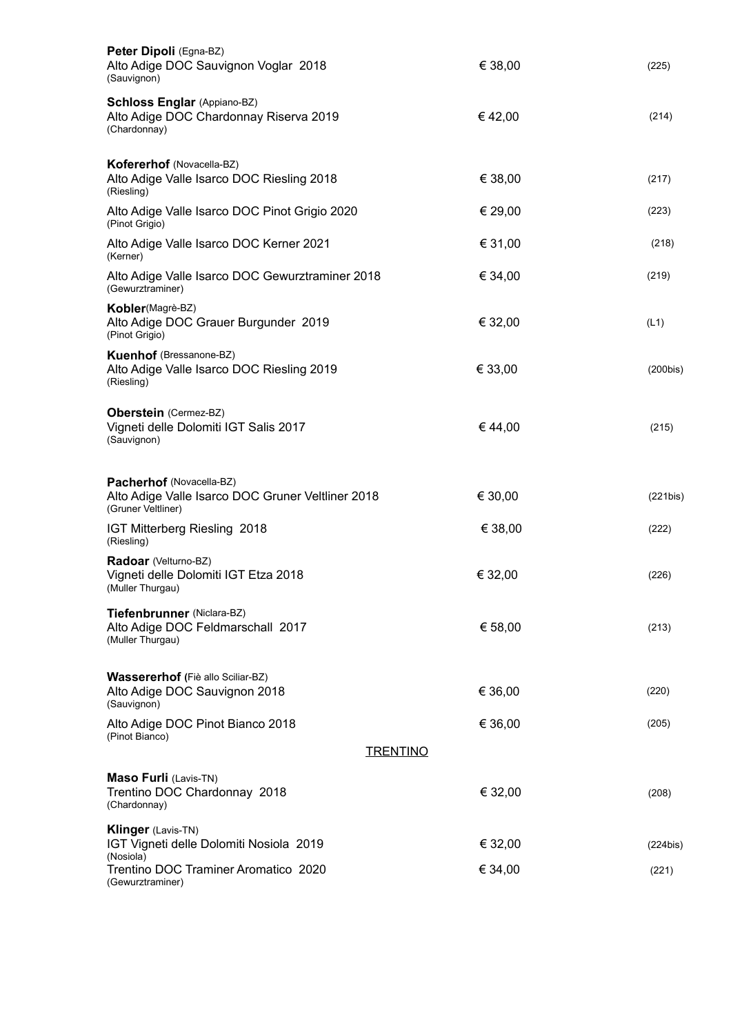| Peter Dipoli (Egna-BZ)<br>Alto Adige DOC Sauvignon Voglar 2018<br>(Sauvignon)                       | € 38,00 | (225)    |
|-----------------------------------------------------------------------------------------------------|---------|----------|
| <b>Schloss Englar (Appiano-BZ)</b><br>Alto Adige DOC Chardonnay Riserva 2019<br>(Chardonnay)        | €42,00  | (214)    |
| Kofererhof (Novacella-BZ)<br>Alto Adige Valle Isarco DOC Riesling 2018<br>(Riesling)                | € 38,00 | (217)    |
| Alto Adige Valle Isarco DOC Pinot Grigio 2020<br>(Pinot Grigio)                                     | € 29,00 | (223)    |
| Alto Adige Valle Isarco DOC Kerner 2021<br>(Kerner)                                                 | € 31,00 | (218)    |
| Alto Adige Valle Isarco DOC Gewurztraminer 2018<br>(Gewurztraminer)                                 | € 34,00 | (219)    |
| Kobler(Magrè-BZ)<br>Alto Adige DOC Grauer Burgunder 2019<br>(Pinot Grigio)                          | € 32,00 | (L1)     |
| <b>Kuenhof</b> (Bressanone-BZ)<br>Alto Adige Valle Isarco DOC Riesling 2019<br>(Riesling)           | € 33,00 | (200bis) |
| Oberstein (Cermez-BZ)<br>Vigneti delle Dolomiti IGT Salis 2017<br>(Sauvignon)                       | €44,00  | (215)    |
| Pacherhof (Novacella-BZ)<br>Alto Adige Valle Isarco DOC Gruner Veltliner 2018<br>(Gruner Veltliner) | € 30,00 | (221bis) |
| IGT Mitterberg Riesling 2018<br>(Riesling)                                                          | € 38,00 | (222)    |
| Radoar (Velturno-BZ)<br>Vigneti delle Dolomiti IGT Etza 2018<br>(Muller Thurgau)                    | € 32,00 | (226)    |
| Tiefenbrunner (Niclara-BZ)<br>Alto Adige DOC Feldmarschall 2017<br>(Muller Thurgau)                 | € 58,00 | (213)    |
| Wassererhof (Fiè allo Sciliar-BZ)<br>Alto Adige DOC Sauvignon 2018<br>(Sauvignon)                   | € 36,00 | (220)    |
| Alto Adige DOC Pinot Bianco 2018<br>(Pinot Bianco)                                                  | € 36,00 | (205)    |
| <b>TRENTINO</b>                                                                                     |         |          |
| <b>Maso Furli (Lavis-TN)</b><br>Trentino DOC Chardonnay 2018<br>(Chardonnay)                        | € 32,00 | (208)    |
| Klinger (Lavis-TN)<br>IGT Vigneti delle Dolomiti Nosiola 2019<br>(Nosiola)                          | € 32,00 | (224bis) |
| Trentino DOC Traminer Aromatico 2020<br>(Gewurztraminer)                                            | € 34,00 | (221)    |
|                                                                                                     |         |          |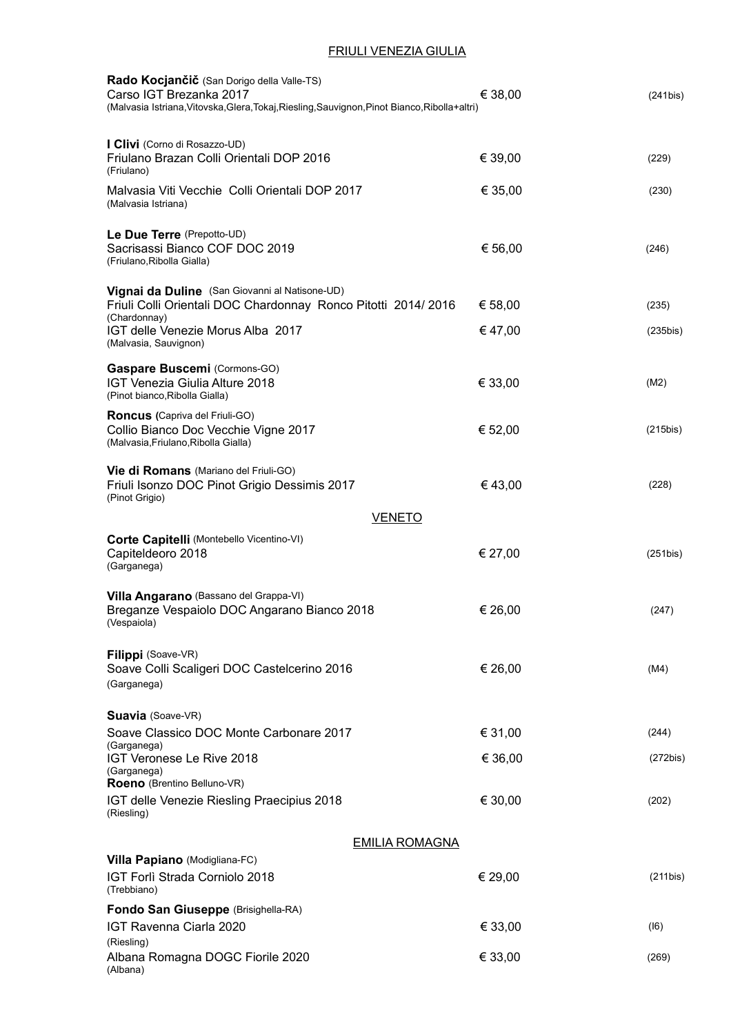#### FRIULI VENEZIA GIULIA

| Rado Kocjančič (San Dorigo della Valle-TS)<br>Carso IGT Brezanka 2017<br>(Malvasia Istriana, Vitovska, Glera, Tokaj, Riesling, Sauvignon, Pinot Bianco, Ribolla+altri) | € 38,00 | (241bis)    |
|------------------------------------------------------------------------------------------------------------------------------------------------------------------------|---------|-------------|
| I Clivi (Corno di Rosazzo-UD)<br>Friulano Brazan Colli Orientali DOP 2016<br>(Friulano)                                                                                | € 39,00 | (229)       |
| Malvasia Viti Vecchie Colli Orientali DOP 2017<br>(Malvasia Istriana)                                                                                                  | € 35,00 | (230)       |
| Le Due Terre (Prepotto-UD)<br>Sacrisassi Bianco COF DOC 2019<br>(Friulano, Ribolla Gialla)                                                                             | € 56,00 | (246)       |
| Vignai da Duline (San Giovanni al Natisone-UD)<br>Friuli Colli Orientali DOC Chardonnay Ronco Pitotti 2014/2016<br>(Chardonnay)                                        | € 58,00 | (235)       |
| IGT delle Venezie Morus Alba 2017<br>(Malvasia, Sauvignon)                                                                                                             | €47,00  | (235bis)    |
| Gaspare Buscemi (Cormons-GO)<br><b>IGT Venezia Giulia Alture 2018</b><br>(Pinot bianco, Ribolla Gialla)                                                                | € 33,00 | (M2)        |
| <b>Roncus</b> (Capriva del Friuli-GO)<br>Collio Bianco Doc Vecchie Vigne 2017<br>(Malvasia, Friulano, Ribolla Gialla)                                                  | € 52,00 | $(215$ bis) |
| Vie di Romans (Mariano del Friuli-GO)<br>Friuli Isonzo DOC Pinot Grigio Dessimis 2017<br>(Pinot Grigio)                                                                | €43,00  | (228)       |
| <b>VENETO</b>                                                                                                                                                          |         |             |
| Corte Capitelli (Montebello Vicentino-VI)<br>Capiteldeoro 2018<br>(Garganega)                                                                                          | € 27,00 | (251bis)    |
| Villa Angarano (Bassano del Grappa-VI)<br>Breganze Vespaiolo DOC Angarano Bianco 2018<br>(Vespaiola)                                                                   | € 26,00 | (247)       |
| Filippi (Soave-VR)<br>Soave Colli Scaligeri DOC Castelcerino 2016<br>(Garganega)                                                                                       | € 26,00 | (M4)        |
| Suavia (Soave-VR)<br>Soave Classico DOC Monte Carbonare 2017                                                                                                           | € 31,00 | (244)       |
| (Garganega)<br>IGT Veronese Le Rive 2018                                                                                                                               | € 36,00 | (272bis)    |
| (Garganega)<br>Roeno (Brentino Belluno-VR)                                                                                                                             |         |             |
| IGT delle Venezie Riesling Praecipius 2018<br>(Riesling)                                                                                                               | € 30,00 | (202)       |
| <b>EMILIA ROMAGNA</b>                                                                                                                                                  |         |             |
| Villa Papiano (Modigliana-FC)<br>IGT Forlì Strada Corniolo 2018<br>(Trebbiano)                                                                                         | € 29,00 | (211bis)    |
| Fondo San Giuseppe (Brisighella-RA)                                                                                                                                    |         |             |
| IGT Ravenna Ciarla 2020<br>(Riesling)                                                                                                                                  | € 33,00 | (16)        |
| Albana Romagna DOGC Fiorile 2020<br>(Albana)                                                                                                                           | € 33,00 | (269)       |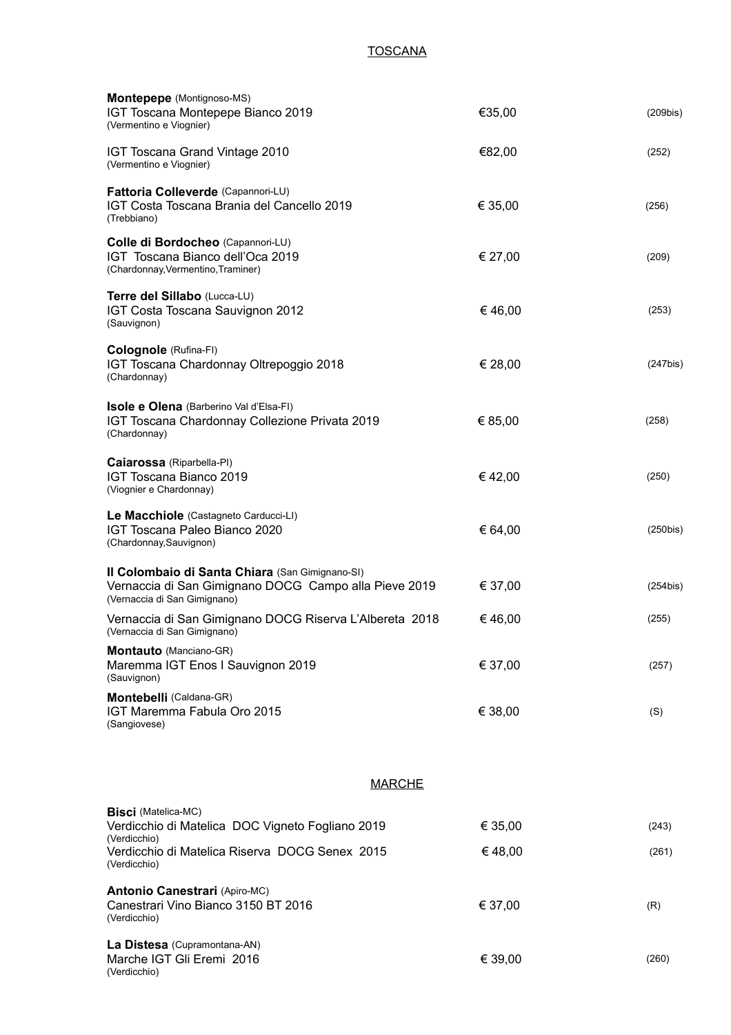### **TOSCANA**

| Montepepe (Montignoso-MS)<br>IGT Toscana Montepepe Bianco 2019<br>(Vermentino e Viognier)                                                | €35,00  | $(209$ bis) |
|------------------------------------------------------------------------------------------------------------------------------------------|---------|-------------|
| IGT Toscana Grand Vintage 2010<br>(Vermentino e Viognier)                                                                                | €82,00  | (252)       |
| Fattoria Colleverde (Capannori-LU)<br>IGT Costa Toscana Brania del Cancello 2019<br>(Trebbiano)                                          | € 35,00 | (256)       |
| Colle di Bordocheo (Capannori-LU)<br>IGT Toscana Bianco dell'Oca 2019<br>(Chardonnay, Vermentino, Traminer)                              | € 27,00 | (209)       |
| Terre del Sillabo (Lucca-LU)<br>IGT Costa Toscana Sauvignon 2012<br>(Sauvignon)                                                          | € 46,00 | (253)       |
| Colognole (Rufina-FI)<br>IGT Toscana Chardonnay Oltrepoggio 2018<br>(Chardonnay)                                                         | € 28,00 | $(247$ bis) |
| <b>Isole e Olena</b> (Barberino Val d'Elsa-FI)<br>IGT Toscana Chardonnay Collezione Privata 2019<br>(Chardonnay)                         | € 85,00 | (258)       |
| Caiarossa (Riparbella-PI)<br>IGT Toscana Bianco 2019<br>(Viognier e Chardonnay)                                                          | €42,00  | (250)       |
| Le Macchiole (Castagneto Carducci-LI)<br>IGT Toscana Paleo Bianco 2020<br>(Chardonnay, Sauvignon)                                        | € 64,00 | $(250$ bis) |
| Il Colombaio di Santa Chiara (San Gimignano-SI)<br>Vernaccia di San Gimignano DOCG Campo alla Pieve 2019<br>(Vernaccia di San Gimignano) | € 37,00 | (254bis)    |
| Vernaccia di San Gimignano DOCG Riserva L'Albereta 2018<br>(Vernaccia di San Gimignano)                                                  | €46,00  | (255)       |
| Montauto (Manciano-GR)<br>Maremma IGT Enos I Sauvignon 2019<br>(Sauvignon)                                                               | € 37,00 | (257)       |
| Montebelli (Caldana-GR)<br>IGT Maremma Fabula Oro 2015<br>(Sangiovese)                                                                   | € 38,00 | (S)         |
| <b>MARCHE</b>                                                                                                                            |         |             |
| <b>Bisci</b> (Matelica-MC)<br>Verdicchio di Matelica DOC Vigneto Fogliano 2019                                                           | € 35,00 | (243)       |
| (Verdicchio)<br>Verdicchio di Matelica Riserva DOCG Senex 2015<br>(Verdicchio)                                                           | €48,00  | (261)       |
| <b>Antonio Canestrari (Apiro-MC)</b><br>Canestrari Vino Bianco 3150 BT 2016<br>(Verdicchio)                                              | € 37,00 | (R)         |
| La Distesa (Cupramontana-AN)<br>Marche IGT Gli Eremi 2016<br>(Verdicchio)                                                                | € 39,00 | (260)       |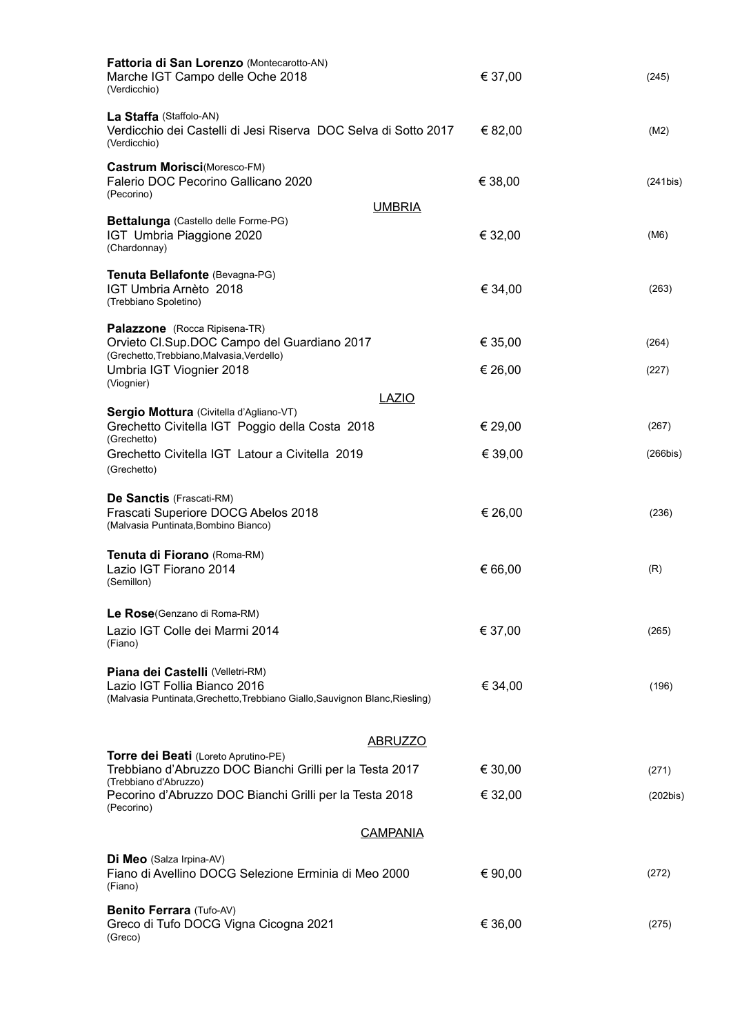| Fattoria di San Lorenzo (Montecarotto-AN)<br>Marche IGT Campo delle Oche 2018<br>(Verdicchio)                                                          | € 37,00            | (245)          |
|--------------------------------------------------------------------------------------------------------------------------------------------------------|--------------------|----------------|
| La Staffa (Staffolo-AN)<br>Verdicchio dei Castelli di Jesi Riserva DOC Selva di Sotto 2017<br>(Verdicchio)                                             | € 82,00            | (M2)           |
| Castrum Morisci(Moresco-FM)<br>Falerio DOC Pecorino Gallicano 2020<br>(Pecorino)<br><b>UMBRIA</b>                                                      | € 38,00            | (241bis)       |
| Bettalunga (Castello delle Forme-PG)<br>IGT Umbria Piaggione 2020<br>(Chardonnay)                                                                      | € 32,00            | (M6)           |
| Tenuta Bellafonte (Bevagna-PG)<br>IGT Umbria Arnèto 2018<br>(Trebbiano Spoletino)                                                                      | € 34,00            | (263)          |
| Palazzone (Rocca Ripisena-TR)<br>Orvieto Cl.Sup.DOC Campo del Guardiano 2017<br>(Grechetto, Trebbiano, Malvasia, Verdello)<br>Umbria IGT Viognier 2018 | € 35,00<br>€ 26,00 | (264)<br>(227) |
| (Viognier)                                                                                                                                             |                    |                |
| <b>LAZIO</b><br>Sergio Mottura (Civitella d'Agliano-VT)                                                                                                |                    |                |
| Grechetto Civitella IGT Poggio della Costa 2018<br>(Grechetto)                                                                                         | € 29,00            | (267)          |
| Grechetto Civitella IGT Latour a Civitella 2019<br>(Grechetto)                                                                                         | € 39,00            | (266bis)       |
| De Sanctis (Frascati-RM)<br>Frascati Superiore DOCG Abelos 2018<br>(Malvasia Puntinata, Bombino Bianco)                                                | € 26,00            | (236)          |
| Tenuta di Fiorano (Roma-RM)<br>Lazio IGT Fiorano 2014<br>(Semillon)                                                                                    | € 66,00            | (R)            |
| Le Rose(Genzano di Roma-RM)                                                                                                                            |                    |                |
| Lazio IGT Colle dei Marmi 2014<br>(Fiano)                                                                                                              | € 37,00            | (265)          |
| Piana dei Castelli (Velletri-RM)<br>Lazio IGT Follia Bianco 2016<br>(Malvasia Puntinata, Grechetto, Trebbiano Giallo, Sauvignon Blanc, Riesling)       | € 34,00            | (196)          |
| <b>ABRUZZO</b>                                                                                                                                         |                    |                |
| Torre dei Beati (Loreto Aprutino-PE)<br>Trebbiano d'Abruzzo DOC Bianchi Grilli per la Testa 2017                                                       | € 30,00            | (271)          |
| (Trebbiano d'Abruzzo)<br>Pecorino d'Abruzzo DOC Bianchi Grilli per la Testa 2018<br>(Pecorino)                                                         | € 32,00            | (202bis)       |
| <b>CAMPANIA</b>                                                                                                                                        |                    |                |
| Di Meo (Salza Irpina-AV)<br>Fiano di Avellino DOCG Selezione Erminia di Meo 2000<br>(Fiano)                                                            | € 90,00            | (272)          |
| Benito Ferrara (Tufo-AV)<br>Greco di Tufo DOCG Vigna Cicogna 2021<br>(Greco)                                                                           | € 36,00            | (275)          |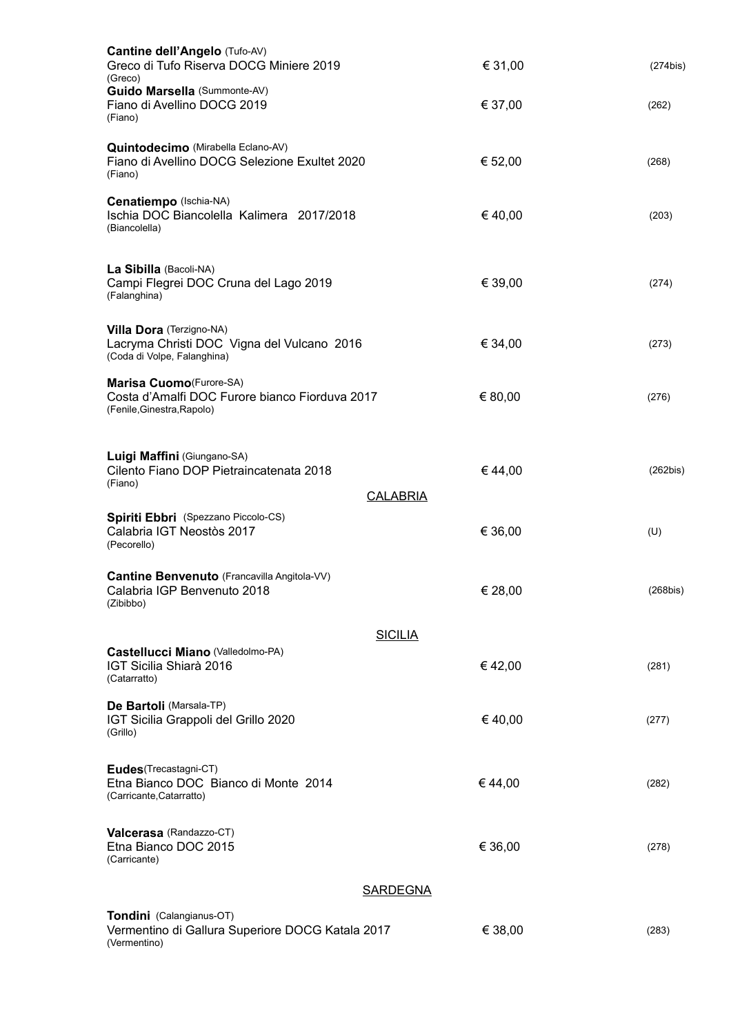| Cantine dell'Angelo (Tufo-AV)<br>Greco di Tufo Riserva DOCG Miniere 2019<br>(Greco)                      | € 31,00 | $(274$ bis) |
|----------------------------------------------------------------------------------------------------------|---------|-------------|
| Guido Marsella (Summonte-AV)<br>Fiano di Avellino DOCG 2019<br>(Fiano)                                   | € 37,00 | (262)       |
| Quintodecimo (Mirabella Eclano-AV)<br>Fiano di Avellino DOCG Selezione Exultet 2020<br>(Fiano)           | € 52,00 | (268)       |
| Cenatiempo (Ischia-NA)<br>Ischia DOC Biancolella Kalimera 2017/2018<br>(Biancolella)                     | €40,00  | (203)       |
| La Sibilla (Bacoli-NA)<br>Campi Flegrei DOC Cruna del Lago 2019<br>(Falanghina)                          | € 39,00 | (274)       |
| Villa Dora (Terzigno-NA)<br>Lacryma Christi DOC Vigna del Vulcano 2016<br>(Coda di Volpe, Falanghina)    | € 34,00 | (273)       |
| Marisa Cuomo (Furore-SA)<br>Costa d'Amalfi DOC Furore bianco Fiorduva 2017<br>(Fenile, Ginestra, Rapolo) | € 80,00 | (276)       |
| Luigi Maffini (Giungano-SA)<br>Cilento Fiano DOP Pietraincatenata 2018<br>(Fiano)<br><b>CALABRIA</b>     | €44,00  | (262bis)    |
| Spiriti Ebbri (Spezzano Piccolo-CS)<br>Calabria IGT Neostòs 2017<br>(Pecorello)                          | € 36,00 | (U)         |
| Cantine Benvenuto (Francavilla Angitola-VV)<br>Calabria IGP Benvenuto 2018<br>(Zibibbo)                  | € 28,00 | (268bis)    |
| <b>SICILIA</b>                                                                                           |         |             |
| Castellucci Miano (Valledolmo-PA)<br>IGT Sicilia Shiarà 2016<br>(Catarratto)                             | €42,00  | (281)       |
| De Bartoli (Marsala-TP)<br>IGT Sicilia Grappoli del Grillo 2020<br>(Grillo)                              | €40,00  | (277)       |
| Eudes(Trecastagni-CT)<br>Etna Bianco DOC Bianco di Monte 2014<br>(Carricante, Catarratto)                | €44,00  | (282)       |
| Valcerasa (Randazzo-CT)<br>Etna Bianco DOC 2015<br>(Carricante)                                          | € 36,00 | (278)       |
| <b>SARDEGNA</b>                                                                                          |         |             |
| Tondini (Calangianus-OT)<br>Vermentino di Gallura Superiore DOCG Katala 2017<br>(Vermentino)             | € 38,00 | (283)       |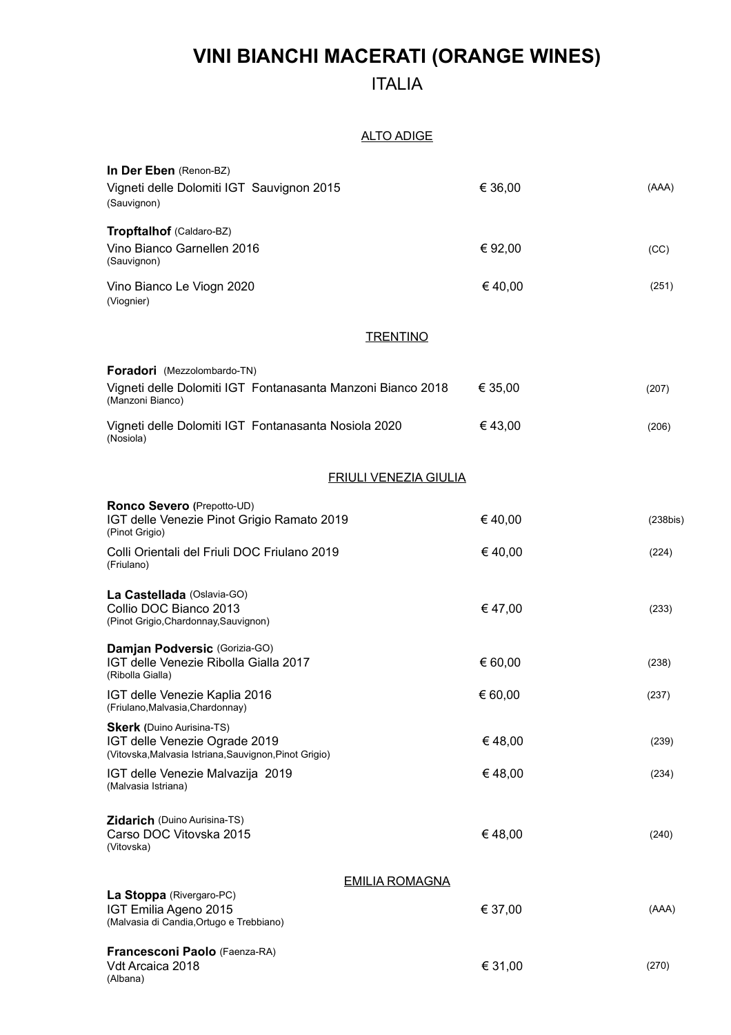# **VINI BIANCHI MACERATI (ORANGE WINES)**

### ITALIA

#### ALTO ADIGE

| In Der Eben (Renon-BZ)<br>Vigneti delle Dolomiti IGT Sauvignon 2015<br>(Sauvignon)                                          | € 36,00 | (AAA)       |
|-----------------------------------------------------------------------------------------------------------------------------|---------|-------------|
| Tropftalhof (Caldaro-BZ)                                                                                                    |         |             |
| Vino Bianco Garnellen 2016<br>(Sauvignon)                                                                                   | € 92,00 | (CC)        |
| Vino Bianco Le Viogn 2020<br>(Viognier)                                                                                     | €40,00  | (251)       |
| <b>TRENTINO</b>                                                                                                             |         |             |
| <b>Foradori</b> (Mezzolombardo-TN)<br>Vigneti delle Dolomiti IGT Fontanasanta Manzoni Bianco 2018<br>(Manzoni Bianco)       | € 35,00 | (207)       |
| Vigneti delle Dolomiti IGT Fontanasanta Nosiola 2020<br>(Nosiola)                                                           | €43,00  | (206)       |
| <b>FRIULI VENEZIA GIULIA</b>                                                                                                |         |             |
| Ronco Severo (Prepotto-UD)<br>IGT delle Venezie Pinot Grigio Ramato 2019<br>(Pinot Grigio)                                  | €40,00  | $(238$ bis) |
| Colli Orientali del Friuli DOC Friulano 2019<br>(Friulano)                                                                  | €40,00  | (224)       |
| La Castellada (Oslavia-GO)<br>Collio DOC Bianco 2013<br>(Pinot Grigio, Chardonnay, Sauvignon)                               | €47,00  | (233)       |
| Damjan Podversic (Gorizia-GO)<br>IGT delle Venezie Ribolla Gialla 2017<br>(Ribolla Gialla)                                  | € 60,00 | (238)       |
| IGT delle Venezie Kaplia 2016<br>(Friulano, Malvasia, Chardonnay)                                                           | € 60,00 | (237)       |
| <b>Skerk</b> (Duino Aurisina-TS)<br>IGT delle Venezie Ograde 2019<br>(Vitovska, Malvasia Istriana, Sauvignon, Pinot Grigio) | €48,00  | (239)       |
| IGT delle Venezie Malvazija 2019<br>(Malvasia Istriana)                                                                     | €48,00  | (234)       |
| Zidarich (Duino Aurisina-TS)<br>Carso DOC Vitovska 2015<br>(Vitovska)                                                       | €48,00  | (240)       |
| <b>EMILIA ROMAGNA</b>                                                                                                       |         |             |
| La Stoppa (Rivergaro-PC)<br>IGT Emilia Ageno 2015<br>(Malvasia di Candia, Ortugo e Trebbiano)                               | € 37,00 | (AAA)       |
| Francesconi Paolo (Faenza-RA)<br>Vdt Arcaica 2018<br>(Albana)                                                               | € 31,00 | (270)       |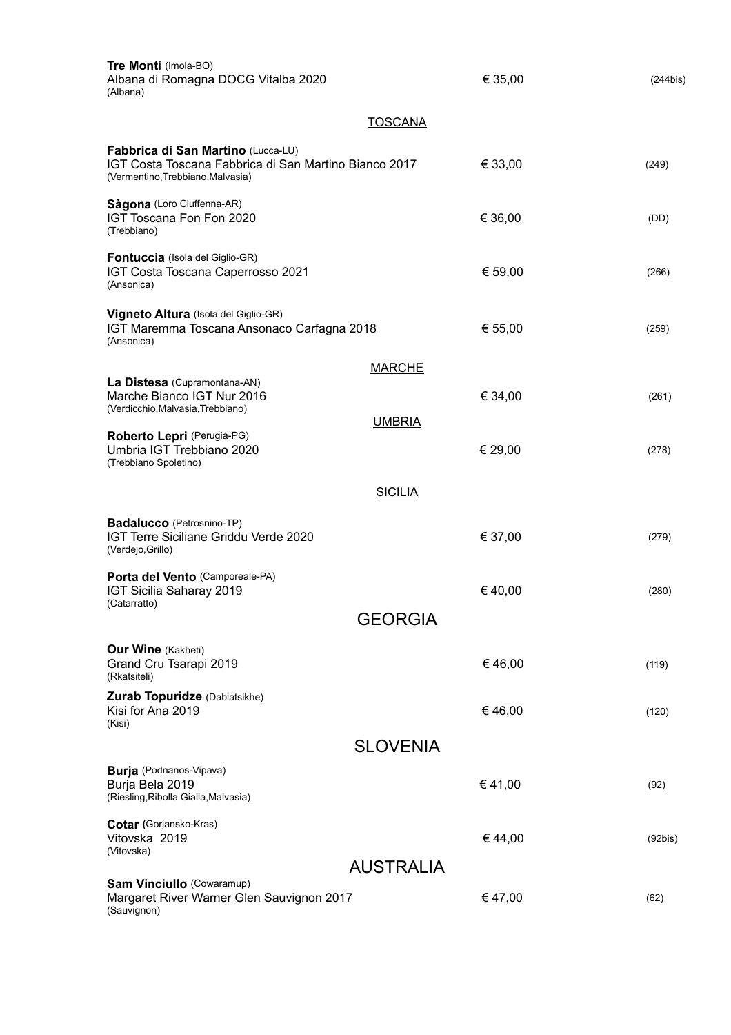| Tre Monti (Imola-BO)<br>Albana di Romagna DOCG Vitalba 2020<br>(Albana)                                                          |                  | € 35,00 | (244bis) |
|----------------------------------------------------------------------------------------------------------------------------------|------------------|---------|----------|
|                                                                                                                                  | <b>TOSCANA</b>   |         |          |
| Fabbrica di San Martino (Lucca-LU)<br>IGT Costa Toscana Fabbrica di San Martino Bianco 2017<br>(Vermentino, Trebbiano, Malvasia) |                  | € 33,00 | (249)    |
| Sàgona (Loro Ciuffenna-AR)<br>IGT Toscana Fon Fon 2020<br>(Trebbiano)                                                            |                  | € 36,00 | (DD)     |
| Fontuccia (Isola del Giglio-GR)<br>IGT Costa Toscana Caperrosso 2021<br>(Ansonica)                                               |                  | € 59,00 | (266)    |
| Vigneto Altura (Isola del Giglio-GR)<br>IGT Maremma Toscana Ansonaco Carfagna 2018<br>(Ansonica)                                 |                  | € 55,00 | (259)    |
|                                                                                                                                  | <b>MARCHE</b>    |         |          |
| La Distesa (Cupramontana-AN)<br>Marche Bianco IGT Nur 2016<br>(Verdicchio, Malvasia, Trebbiano)                                  |                  | € 34,00 | (261)    |
| Roberto Lepri (Perugia-PG)<br>Umbria IGT Trebbiano 2020<br>(Trebbiano Spoletino)                                                 | <b>UMBRIA</b>    | € 29,00 | (278)    |
|                                                                                                                                  | <b>SICILIA</b>   |         |          |
| Badalucco (Petrosnino-TP)<br>IGT Terre Siciliane Griddu Verde 2020<br>(Verdejo, Grillo)                                          |                  | € 37,00 | (279)    |
| Porta del Vento (Camporeale-PA)<br>IGT Sicilia Saharay 2019<br>(Catarratto)                                                      |                  | €40,00  | (280)    |
|                                                                                                                                  | <b>GEORGIA</b>   |         |          |
| <b>Our Wine (Kakheti)</b><br>Grand Cru Tsarapi 2019<br>(Rkatsiteli)                                                              |                  | €46,00  | (119)    |
| Zurab Topuridze (Dablatsikhe)<br>Kisi for Ana 2019<br>(Kisi)                                                                     |                  | €46,00  | (120)    |
|                                                                                                                                  | <b>SLOVENIA</b>  |         |          |
| <b>Burja</b> (Podnanos-Vipava)<br>Burja Bela 2019<br>(Riesling, Ribolla Gialla, Malvasia)                                        |                  | €41,00  | (92)     |
| Cotar (Gorjansko-Kras)<br>Vitovska 2019<br>(Vitovska)                                                                            |                  | €44,00  | (92bis)  |
|                                                                                                                                  | <b>AUSTRALIA</b> |         |          |
| <b>Sam Vinciullo (Cowaramup)</b><br>Margaret River Warner Glen Sauvignon 2017<br>(Sauvignon)                                     |                  | €47,00  | (62)     |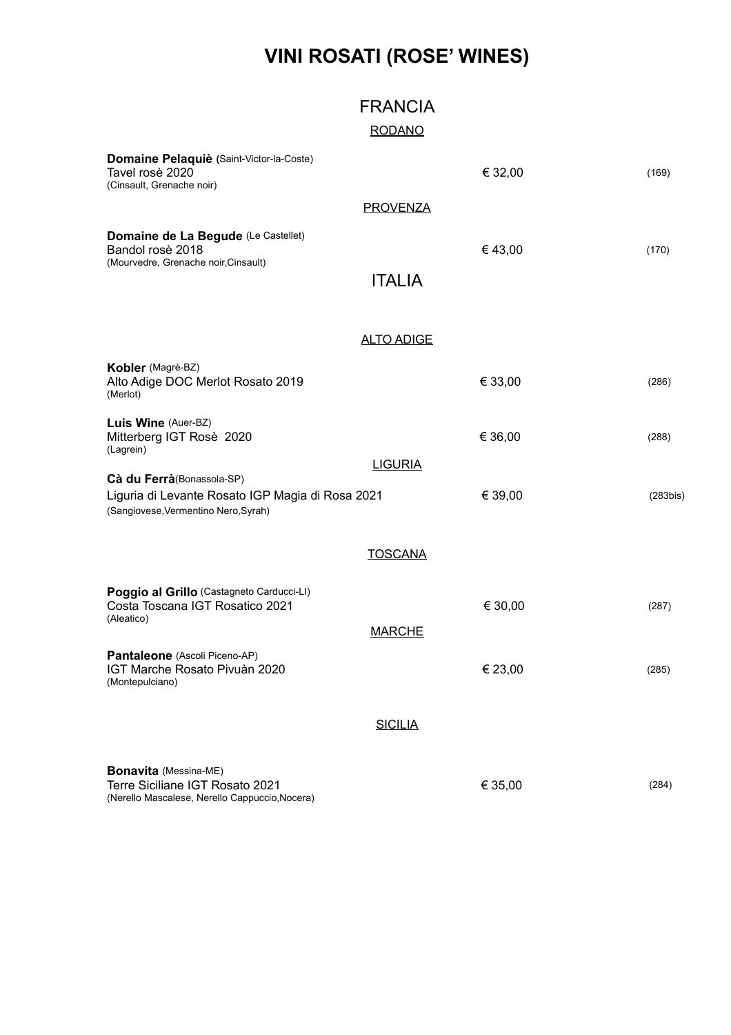## **VINI ROSATI (ROSE' WINES)**

|                                                                                                                       | <b>FRANCIA</b>    |         |          |
|-----------------------------------------------------------------------------------------------------------------------|-------------------|---------|----------|
|                                                                                                                       | <b>RODANO</b>     |         |          |
| Domaine Pelaquiè (Saint-Victor-la-Coste)<br>Tavel rosè 2020<br>(Cinsault, Grenache noir)                              |                   | € 32,00 | (169)    |
|                                                                                                                       | <b>PROVENZA</b>   |         |          |
| Domaine de La Begude (Le Castellet)<br>Bandol rosè 2018<br>(Mourvedre, Grenache noir, Cinsault)                       |                   | €43,00  | (170)    |
|                                                                                                                       | <b>ITALIA</b>     |         |          |
|                                                                                                                       |                   |         |          |
|                                                                                                                       | <b>ALTO ADIGE</b> |         |          |
| Kobler (Magrè-BZ)<br>Alto Adige DOC Merlot Rosato 2019<br>(Merlot)                                                    |                   | € 33,00 | (286)    |
| Luis Wine (Auer-BZ)<br>Mitterberg IGT Rosè 2020<br>(Lagrein)                                                          |                   | € 36,00 | (288)    |
| Cà du Ferrà(Bonassola-SP)<br>Liguria di Levante Rosato IGP Magia di Rosa 2021<br>(Sangiovese, Vermentino Nero, Syrah) | <b>LIGURIA</b>    | € 39,00 | (283bis) |
|                                                                                                                       | <b>TOSCANA</b>    |         |          |
| Poggio al Grillo (Castagneto Carducci-LI)<br>Costa Toscana IGT Rosatico 2021<br>(Aleatico)                            | <b>MARCHE</b>     | € 30,00 | (287)    |
| Pantaleone (Ascoli Piceno-AP)<br>IGT Marche Rosato Pivuàn 2020<br>(Montepulciano)                                     |                   | € 23,00 | (285)    |
|                                                                                                                       | <b>SICILIA</b>    |         |          |
|                                                                                                                       |                   |         |          |
| <b>Bonavita</b> (Messina-ME)                                                                                          |                   |         |          |

Terre Siciliane IGT Rosato 2021  $\epsilon$  35,00 (284) (Nerello Mascalese, Nerello Cappuccio,Nocera)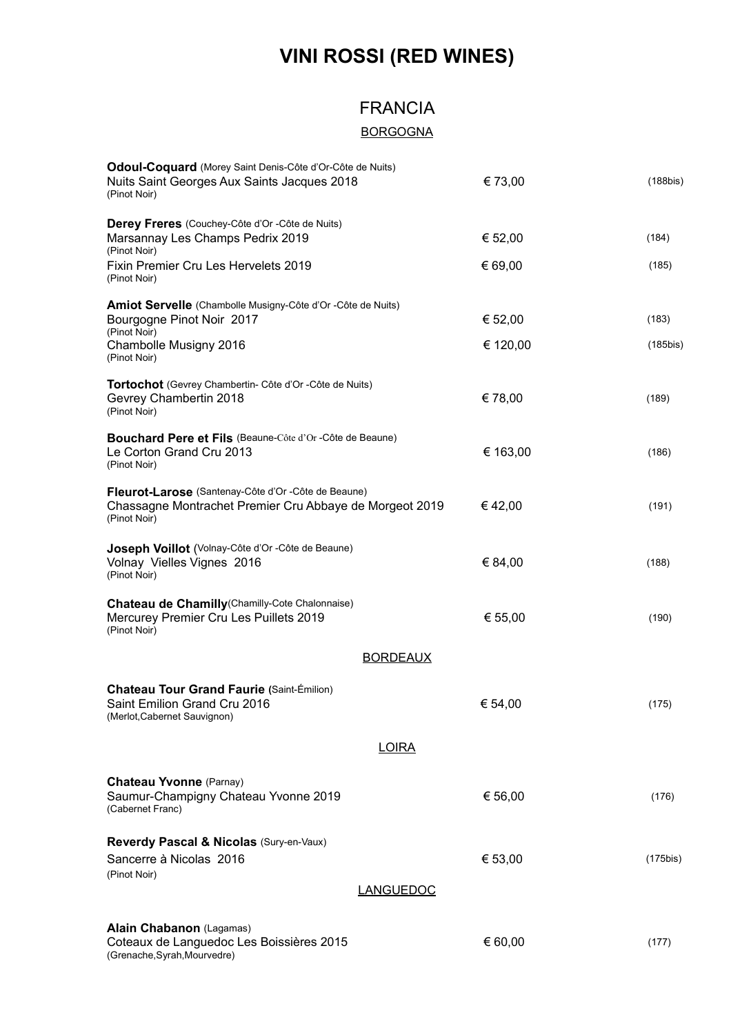# **VINI ROSSI (RED WINES)**

### FRANCIA

### **BORGOGNA**

| Odoul-Coquard (Morey Saint Denis-Côte d'Or-Côte de Nuits)<br>Nuits Saint Georges Aux Saints Jacques 2018<br>(Pinot Noir)              | € 73,00  | (188bis)    |
|---------------------------------------------------------------------------------------------------------------------------------------|----------|-------------|
| Derey Freres (Couchey-Côte d'Or -Côte de Nuits)                                                                                       |          |             |
| Marsannay Les Champs Pedrix 2019<br>(Pinot Noir)                                                                                      | € 52,00  | (184)       |
| Fixin Premier Cru Les Hervelets 2019<br>(Pinot Noir)                                                                                  | € 69,00  | (185)       |
| Amiot Servelle (Chambolle Musigny-Côte d'Or -Côte de Nuits)<br>Bourgogne Pinot Noir 2017                                              | € 52,00  | (183)       |
| (Pinot Noir)<br>Chambolle Musigny 2016<br>(Pinot Noir)                                                                                | € 120,00 | $(185$ bis) |
| Tortochot (Gevrey Chambertin- Côte d'Or - Côte de Nuits)<br>Gevrey Chambertin 2018<br>(Pinot Noir)                                    | €78,00   | (189)       |
| Bouchard Pere et Fils (Beaune-Côte d'Or-Côte de Beaune)<br>Le Corton Grand Cru 2013<br>(Pinot Noir)                                   | € 163,00 | (186)       |
| <b>Fleurot-Larose</b> (Santenay-Côte d'Or -Côte de Beaune)<br>Chassagne Montrachet Premier Cru Abbaye de Morgeot 2019<br>(Pinot Noir) | € 42,00  | (191)       |
| Joseph Voillot (Volnay-Côte d'Or - Côte de Beaune)<br>Volnay Vielles Vignes 2016<br>(Pinot Noir)                                      | € 84,00  | (188)       |
| <b>Chateau de Chamilly</b> (Chamilly-Cote Chalonnaise)<br>Mercurey Premier Cru Les Puillets 2019<br>(Pinot Noir)                      | € 55,00  | (190)       |
| <b>BORDEAUX</b>                                                                                                                       |          |             |
| <b>Chateau Tour Grand Faurie (Saint-Émilion)</b><br>Saint Emilion Grand Cru 2016<br>(Merlot, Cabernet Sauvignon)                      | € 54,00  | (175)       |
| <b>LOIRA</b>                                                                                                                          |          |             |
| <b>Chateau Yvonne (Parnay)</b><br>Saumur-Champigny Chateau Yvonne 2019<br>(Cabernet Franc)                                            | € 56,00  | (176)       |
| Reverdy Pascal & Nicolas (Sury-en-Vaux)<br>Sancerre à Nicolas 2016<br>(Pinot Noir)                                                    | € 53,00  | (175bis)    |
| <b>LANGUEDOC</b>                                                                                                                      |          |             |
| Alain Chabanon (Lagamas)<br>Coteaux de Languedoc Les Boissières 2015<br>(Grenache, Syrah, Mourvedre)                                  | € 60,00  | (177)       |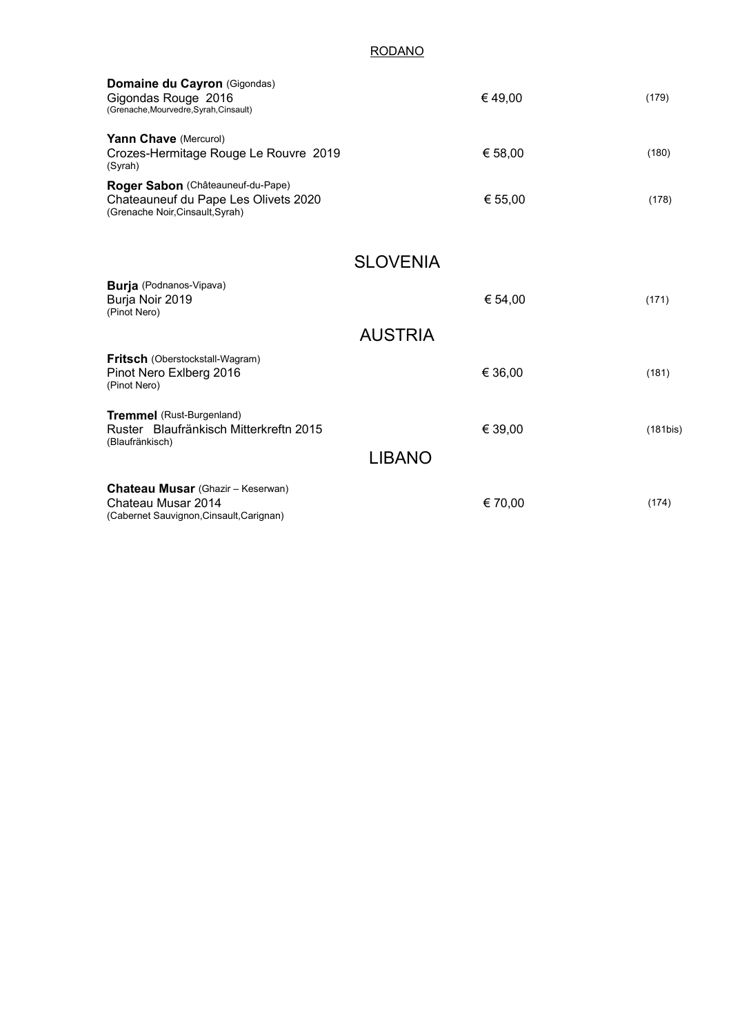#### RODANO

| Domaine du Cayron (Gigondas)<br>Gigondas Rouge 2016<br>(Grenache, Mourvedre, Syrah, Cinsault)                 | €49,00          | (179)       |
|---------------------------------------------------------------------------------------------------------------|-----------------|-------------|
| Yann Chave (Mercurol)<br>Crozes-Hermitage Rouge Le Rouvre 2019<br>(Syrah)                                     | € 58,00         | (180)       |
| Roger Sabon (Châteauneuf-du-Pape)<br>Chateauneuf du Pape Les Olivets 2020<br>(Grenache Noir, Cinsault, Syrah) | € 55,00         | (178)       |
|                                                                                                               | <b>SLOVENIA</b> |             |
| <b>Burja</b> (Podnanos-Vipava)<br>Burja Noir 2019<br>(Pinot Nero)                                             | € 54,00         | (171)       |
|                                                                                                               | <b>AUSTRIA</b>  |             |
| <b>Fritsch</b> (Oberstockstall-Wagram)<br>Pinot Nero Exlberg 2016<br>(Pinot Nero)                             | € 36,00         | (181)       |
| <b>Tremmel</b> (Rust-Burgenland)<br>Ruster Blaufränkisch Mitterkreftn 2015<br>(Blaufränkisch)                 | € 39,00         | $(181$ bis) |
|                                                                                                               | <b>LIBANO</b>   |             |
| <b>Chateau Musar</b> (Ghazir - Keserwan)<br>Chateau Musar 2014<br>(Cabernet Sauvignon, Cinsault, Carignan)    | € 70,00         | (174)       |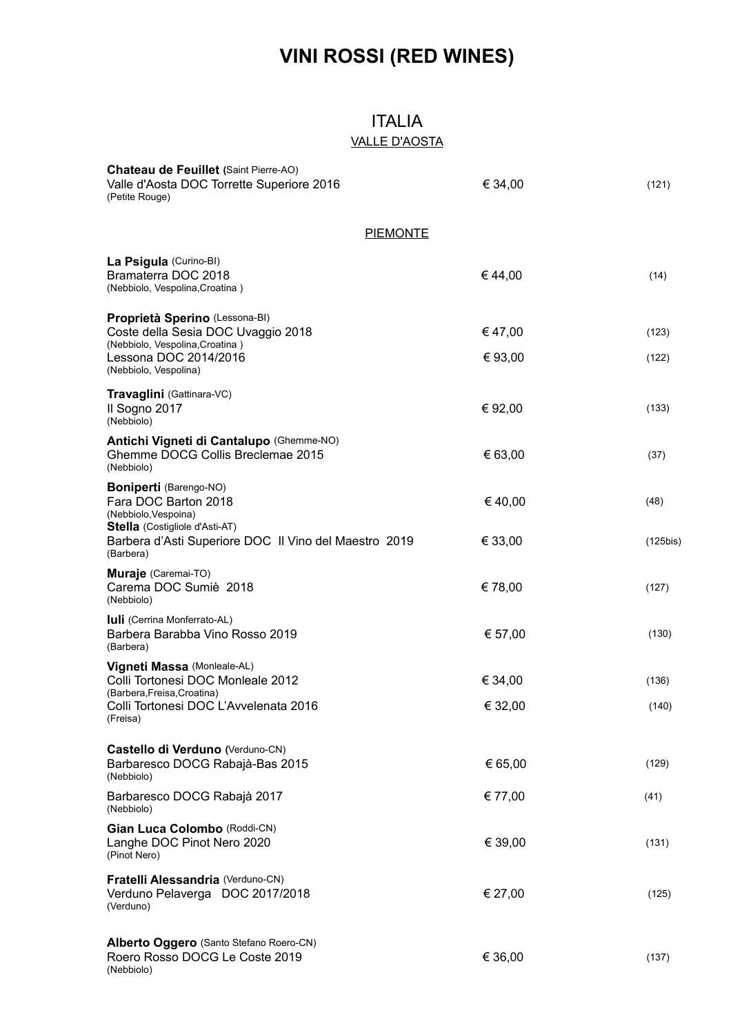# **VINI ROSSI (RED WINES)**

### ITALIA VALLE D'AOSTA

| Chateau de Feuillet (Saint Pierre-AO)<br>Valle d'Aosta DOC Torrette Superiore 2016<br>(Petite Rouge)                                                      | € 34,00            | (121)          |
|-----------------------------------------------------------------------------------------------------------------------------------------------------------|--------------------|----------------|
| <b>PIEMONTE</b>                                                                                                                                           |                    |                |
| La Psigula (Curino-BI)<br>Bramaterra DOC 2018<br>(Nebbiolo, Vespolina, Croatina)                                                                          | €44,00             | (14)           |
| Proprietà Sperino (Lessona-BI)<br>Coste della Sesia DOC Uvaggio 2018<br>(Nebbiolo, Vespolina, Croatina)<br>Lessona DOC 2014/2016<br>(Nebbiolo, Vespolina) | €47,00<br>€ 93,00  | (123)<br>(122) |
| Travaglini (Gattinara-VC)<br>Il Sogno 2017<br>(Nebbiolo)                                                                                                  | € 92,00            | (133)          |
| Antichi Vigneti di Cantalupo (Ghemme-NO)<br>Ghemme DOCG Collis Breclemae 2015<br>(Nebbiolo)                                                               | € 63,00            | (37)           |
| <b>Boniperti</b> (Barengo-NO)<br>Fara DOC Barton 2018<br>(Nebbiolo, Vespoina)                                                                             | €40,00             | (48)           |
| <b>Stella</b> (Costigliole d'Asti-AT)<br>Barbera d'Asti Superiore DOC Il Vino del Maestro 2019<br>(Barbera)                                               | € 33,00            | $(125$ bis)    |
| Muraje (Caremai-TO)<br>Carema DOC Sumiè 2018<br>(Nebbiolo)                                                                                                | € 78,00            | (127)          |
| <b>Iuli</b> (Cerrina Monferrato-AL)<br>Barbera Barabba Vino Rosso 2019<br>(Barbera)                                                                       | € 57,00            | (130)          |
| Vigneti Massa (Monleale-AL)<br>Colli Tortonesi DOC Monleale 2012<br>(Barbera, Freisa, Croatina)<br>Colli Tortonesi DOC L'Avvelenata 2016<br>(Freisa)      | € 34,00<br>€ 32,00 | (136)<br>(140) |
| Castello di Verduno (Verduno-CN)<br>Barbaresco DOCG Rabajà-Bas 2015<br>(Nebbiolo)                                                                         | € 65,00            | (129)          |
| Barbaresco DOCG Rabajà 2017<br>(Nebbiolo)                                                                                                                 | € 77,00            | (41)           |
| Gian Luca Colombo (Roddi-CN)<br>Langhe DOC Pinot Nero 2020<br>(Pinot Nero)                                                                                | € 39,00            | (131)          |
| Fratelli Alessandria (Verduno-CN)<br>Verduno Pelaverga DOC 2017/2018<br>(Verduno)                                                                         | € 27,00            | (125)          |
| Alberto Oggero (Santo Stefano Roero-CN)<br>Roero Rosso DOCG Le Coste 2019<br>(Nebbiolo)                                                                   | € 36,00            | (137)          |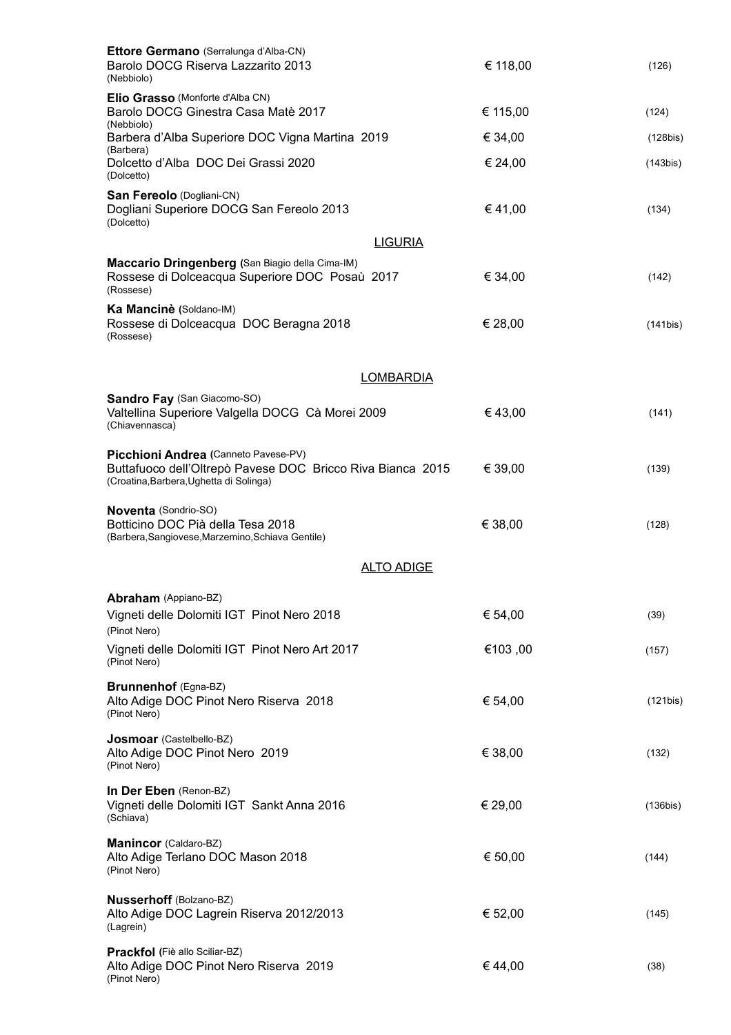| Ettore Germano (Serralunga d'Alba-CN)<br>Barolo DOCG Riserva Lazzarito 2013                                                                   | € 118,00 | (126)    |
|-----------------------------------------------------------------------------------------------------------------------------------------------|----------|----------|
| (Nebbiolo)                                                                                                                                    |          |          |
| <b>Elio Grasso</b> (Monforte d'Alba CN)<br>Barolo DOCG Ginestra Casa Matè 2017<br>(Nebbiolo)                                                  | € 115,00 | (124)    |
| Barbera d'Alba Superiore DOC Vigna Martina 2019                                                                                               | € 34,00  | (128bis) |
| (Barbera)<br>Dolcetto d'Alba DOC Dei Grassi 2020<br>(Dolcetto)                                                                                | € 24,00  | (143bis) |
| San Fereolo (Dogliani-CN)<br>Dogliani Superiore DOCG San Fereolo 2013<br>(Dolcetto)                                                           | €41,00   | (134)    |
| <b>LIGURIA</b>                                                                                                                                |          |          |
| Maccario Dringenberg (San Biagio della Cima-IM)<br>Rossese di Dolceacqua Superiore DOC Posaù 2017<br>(Rossese)                                | € 34,00  | (142)    |
| Ka Mancinè (Soldano-IM)<br>Rossese di Dolceacqua DOC Beragna 2018<br>(Rossese)                                                                | € 28,00  | (141bis) |
| <b>LOMBARDIA</b>                                                                                                                              |          |          |
| <b>Sandro Fay (San Giacomo-SO)</b><br>Valtellina Superiore Valgella DOCG Cà Morei 2009<br>(Chiavennasca)                                      | €43,00   | (141)    |
| Picchioni Andrea (Canneto Pavese-PV)<br>Buttafuoco dell'Oltrepò Pavese DOC Bricco Riva Bianca 2015<br>(Croatina, Barbera, Ughetta di Solinga) | € 39,00  | (139)    |
| Noventa (Sondrio-SO)<br>Botticino DOC Pià della Tesa 2018<br>(Barbera, Sangiovese, Marzemino, Schiava Gentile)                                | € 38,00  | (128)    |
| <b>ALTO ADIGE</b>                                                                                                                             |          |          |
| <b>Abraham</b> (Appiano-BZ)<br>Vigneti delle Dolomiti IGT Pinot Nero 2018<br>(Pinot Nero)                                                     | € 54,00  | (39)     |
| Vigneti delle Dolomiti IGT Pinot Nero Art 2017<br>(Pinot Nero)                                                                                | €103,00  | (157)    |
| Brunnenhof (Egna-BZ)<br>Alto Adige DOC Pinot Nero Riserva 2018<br>(Pinot Nero)                                                                | € 54,00  | (121bis) |
| Josmoar (Castelbello-BZ)<br>Alto Adige DOC Pinot Nero 2019<br>(Pinot Nero)                                                                    | € 38,00  | (132)    |
| In Der Eben (Renon-BZ)<br>Vigneti delle Dolomiti IGT Sankt Anna 2016<br>(Schiava)                                                             | € 29,00  | (136bis) |
| Manincor (Caldaro-BZ)<br>Alto Adige Terlano DOC Mason 2018<br>(Pinot Nero)                                                                    | € 50,00  | (144)    |
| <b>Nusserhoff</b> (Bolzano-BZ)<br>Alto Adige DOC Lagrein Riserva 2012/2013<br>(Lagrein)                                                       | € 52,00  | (145)    |
| Prackfol (Fiè allo Sciliar-BZ)<br>Alto Adige DOC Pinot Nero Riserva 2019<br>(Pinot Nero)                                                      | €44,00   | (38)     |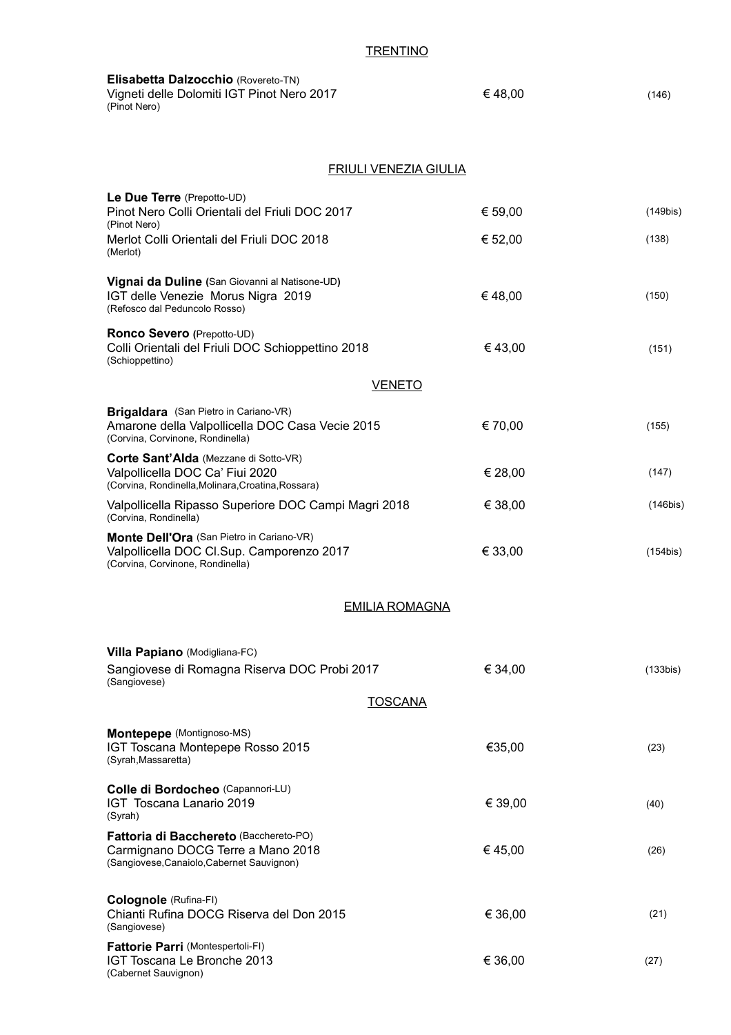#### **TRENTINO**

| Elisabetta Dalzocchio (Rovereto-TN)<br>Vigneti delle Dolomiti IGT Pinot Nero 2017<br>(Pinot Nero)                              | €48,00  | (146)       |
|--------------------------------------------------------------------------------------------------------------------------------|---------|-------------|
| <b>FRIULI VENEZIA GIULIA</b>                                                                                                   |         |             |
| Le Due Terre (Prepotto-UD)<br>Pinot Nero Colli Orientali del Friuli DOC 2017<br>(Pinot Nero)                                   | € 59,00 | $(149$ bis) |
| Merlot Colli Orientali del Friuli DOC 2018<br>(Merlot)                                                                         | € 52,00 | (138)       |
| Vignai da Duline (San Giovanni al Natisone-UD)<br>IGT delle Venezie Morus Nigra 2019<br>(Refosco dal Peduncolo Rosso)          | €48,00  | (150)       |
| Ronco Severo (Prepotto-UD)<br>Colli Orientali del Friuli DOC Schioppettino 2018<br>(Schioppettino)                             | €43,00  | (151)       |
| <b>VENETO</b>                                                                                                                  |         |             |
| Brigaldara (San Pietro in Cariano-VR)<br>Amarone della Valpollicella DOC Casa Vecie 2015<br>(Corvina, Corvinone, Rondinella)   | € 70,00 | (155)       |
| Corte Sant'Alda (Mezzane di Sotto-VR)<br>Valpollicella DOC Ca' Fiui 2020<br>(Corvina, Rondinella, Molinara, Croatina, Rossara) | € 28,00 | (147)       |
| Valpollicella Ripasso Superiore DOC Campi Magri 2018<br>(Corvina, Rondinella)                                                  | € 38,00 | $(146$ bis) |
| Monte Dell'Ora (San Pietro in Cariano-VR)<br>Valpollicella DOC Cl.Sup. Camporenzo 2017<br>(Corvina, Corvinone, Rondinella)     | € 33,00 | $(154$ bis) |
| <u>EMILIA ROMAGNA</u>                                                                                                          |         |             |
| Villa Papiano (Modigliana-FC)                                                                                                  |         |             |
| Sangiovese di Romagna Riserva DOC Probi 2017<br>(Sangiovese)                                                                   | € 34,00 | (133bis)    |
| <b>TOSCANA</b>                                                                                                                 |         |             |
| Montepepe (Montignoso-MS)<br>IGT Toscana Montepepe Rosso 2015<br>(Syrah, Massaretta)                                           | €35,00  | (23)        |
| Colle di Bordocheo (Capannori-LU)<br>IGT Toscana Lanario 2019<br>(Syrah)                                                       | € 39,00 | (40)        |
| Fattoria di Bacchereto (Bacchereto-PO)<br>Carmignano DOCG Terre a Mano 2018<br>(Sangiovese, Canaiolo, Cabernet Sauvignon)      | €45,00  | (26)        |
| Colognole (Rufina-FI)<br>Chianti Rufina DOCG Riserva del Don 2015<br>(Sangiovese)                                              | € 36,00 | (21)        |
| <b>Fattorie Parri (Montespertoli-FI)</b><br>IGT Toscana Le Bronche 2013<br>(Cabernet Sauvignon)                                | € 36,00 | (27)        |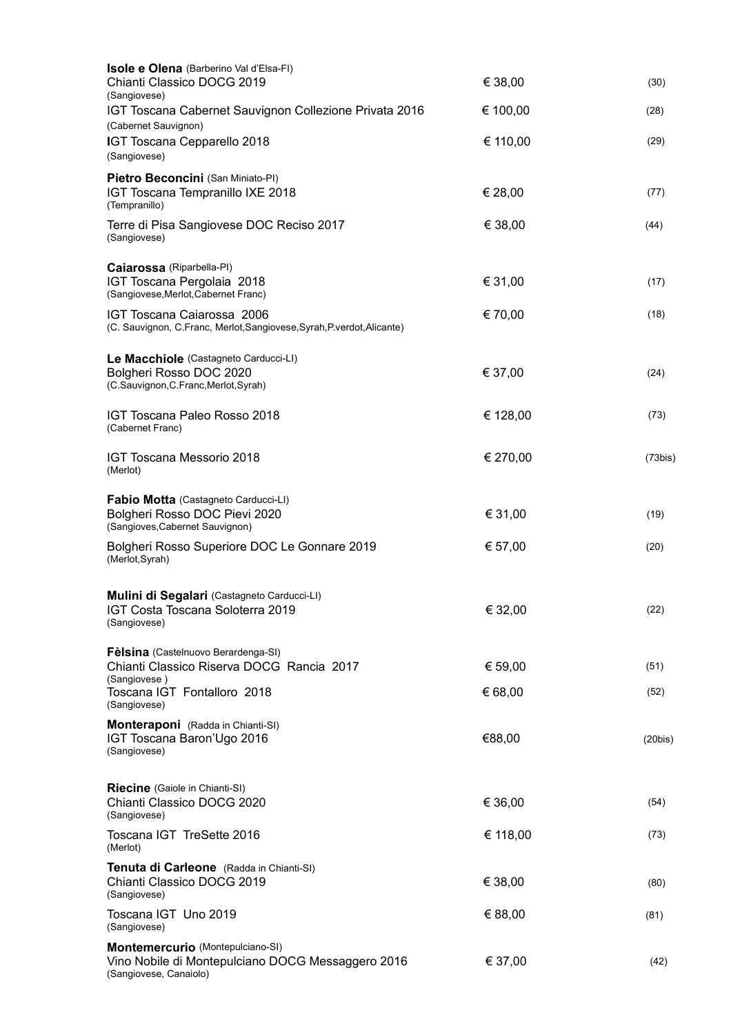| <b>Isole e Olena</b> (Barberino Val d'Elsa-FI)                                                                  |          |         |
|-----------------------------------------------------------------------------------------------------------------|----------|---------|
| Chianti Classico DOCG 2019<br>(Sangiovese)                                                                      | € 38,00  | (30)    |
| IGT Toscana Cabernet Sauvignon Collezione Privata 2016<br>(Cabernet Sauvignon)                                  | € 100,00 | (28)    |
| IGT Toscana Cepparello 2018<br>(Sangiovese)                                                                     | € 110,00 | (29)    |
| Pietro Beconcini (San Miniato-PI)<br>IGT Toscana Tempranillo IXE 2018<br>(Tempranillo)                          | € 28,00  | (77)    |
| Terre di Pisa Sangiovese DOC Reciso 2017<br>(Sangiovese)                                                        | € 38,00  | (44)    |
| <b>Caiarossa</b> (Riparbella-PI)<br>IGT Toscana Pergolaia 2018<br>(Sangiovese, Merlot, Cabernet Franc)          | € 31,00  | (17)    |
| IGT Toscana Caiarossa 2006<br>(C. Sauvignon, C.Franc, Merlot, Sangiovese, Syrah, P. verdot, Alicante)           | € 70,00  | (18)    |
| Le Macchiole (Castagneto Carducci-LI)<br>Bolgheri Rosso DOC 2020<br>(C.Sauvignon, C.Franc, Merlot, Syrah)       | € 37,00  | (24)    |
| <b>IGT Toscana Paleo Rosso 2018</b><br>(Cabernet Franc)                                                         | € 128,00 | (73)    |
| <b>IGT Toscana Messorio 2018</b><br>(Merlot)                                                                    | € 270,00 | (73bis) |
| Fabio Motta (Castagneto Carducci-LI)<br>Bolgheri Rosso DOC Pievi 2020<br>(Sangioves, Cabernet Sauvignon)        | € 31,00  | (19)    |
| Bolgheri Rosso Superiore DOC Le Gonnare 2019<br>(Merlot, Syrah)                                                 | € 57,00  | (20)    |
| Mulini di Segalari (Castagneto Carducci-LI)<br>IGT Costa Toscana Soloterra 2019<br>(Sangiovese)                 | € 32,00  | (22)    |
| Fèlsina (Castelnuovo Berardenga-SI)<br>Chianti Classico Riserva DOCG Rancia 2017                                | € 59,00  | (51)    |
| (Sangiovese)<br>Toscana IGT Fontalloro 2018<br>(Sangiovese)                                                     | € 68,00  | (52)    |
| Monteraponi (Radda in Chianti-SI)<br>IGT Toscana Baron'Ugo 2016<br>(Sangiovese)                                 | €88,00   | (20bis) |
| Riecine (Gaiole in Chianti-SI)<br>Chianti Classico DOCG 2020<br>(Sangiovese)                                    | € 36,00  | (54)    |
| Toscana IGT TreSette 2016<br>(Merlot)                                                                           | € 118,00 | (73)    |
| Tenuta di Carleone (Radda in Chianti-SI)<br>Chianti Classico DOCG 2019<br>(Sangiovese)                          | € 38,00  | (80)    |
| Toscana IGT Uno 2019<br>(Sangiovese)                                                                            | € 88,00  | (81)    |
| Montemercurio (Montepulciano-SI)<br>Vino Nobile di Montepulciano DOCG Messaggero 2016<br>(Sangiovese, Canaiolo) | € 37,00  | (42)    |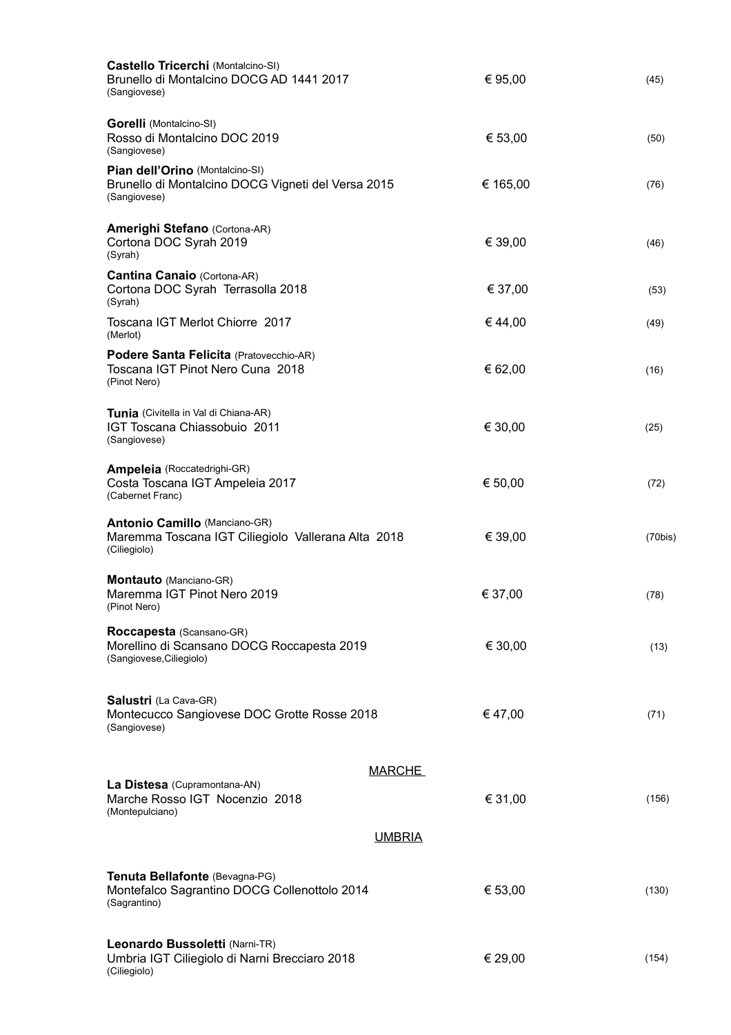| Castello Tricerchi (Montalcino-SI)<br>Brunello di Montalcino DOCG AD 1441 2017<br>(Sangiovese)             | € 95,00       | (45)    |
|------------------------------------------------------------------------------------------------------------|---------------|---------|
| <b>Gorelli</b> (Montalcino-SI)<br>Rosso di Montalcino DOC 2019<br>(Sangiovese)                             | € 53,00       | (50)    |
| Pian dell'Orino (Montalcino-SI)<br>Brunello di Montalcino DOCG Vigneti del Versa 2015<br>(Sangiovese)      | € 165,00      | (76)    |
| <b>Amerighi Stefano</b> (Cortona-AR)<br>Cortona DOC Syrah 2019<br>(Syrah)                                  | € 39,00       | (46)    |
| <b>Cantina Canaio</b> (Cortona-AR)<br>Cortona DOC Syrah Terrasolla 2018<br>(Syrah)                         | € 37,00       | (53)    |
| Toscana IGT Merlot Chiorre 2017<br>(Merlot)                                                                | €44,00        | (49)    |
| Podere Santa Felicita (Pratovecchio-AR)<br>Toscana IGT Pinot Nero Cuna 2018<br>(Pinot Nero)                | € 62,00       | (16)    |
| Tunia (Civitella in Val di Chiana-AR)<br>IGT Toscana Chiassobuio 2011<br>(Sangiovese)                      | € 30,00       | (25)    |
| Ampeleia (Roccatedrighi-GR)<br>Costa Toscana IGT Ampeleia 2017<br>(Cabernet Franc)                         | € 50,00       | (72)    |
| <b>Antonio Camillo (Manciano-GR)</b><br>Maremma Toscana IGT Ciliegiolo Vallerana Alta 2018<br>(Ciliegiolo) | € 39,00       | (70bis) |
| Montauto (Manciano-GR)<br>Maremma IGT Pinot Nero 2019<br>(Pinot Nero)                                      | € 37,00       | (78)    |
| Roccapesta (Scansano-GR)<br>Morellino di Scansano DOCG Roccapesta 2019<br>(Sangiovese, Ciliegiolo)         | € 30,00       | (13)    |
| Salustri (La Cava-GR)<br>Montecucco Sangiovese DOC Grotte Rosse 2018<br>(Sangiovese)                       | €47,00        | (71)    |
|                                                                                                            | <b>MARCHE</b> |         |
| La Distesa (Cupramontana-AN)<br>Marche Rosso IGT Nocenzio 2018<br>(Montepulciano)                          | € 31,00       | (156)   |
|                                                                                                            | <b>UMBRIA</b> |         |
| Tenuta Bellafonte (Bevagna-PG)<br>Montefalco Sagrantino DOCG Collenottolo 2014<br>(Sagrantino)             | € 53,00       | (130)   |
| Leonardo Bussoletti (Narni-TR)<br>Umbria IGT Ciliegiolo di Narni Brecciaro 2018<br>(Ciliegiolo)            | € 29,00       | (154)   |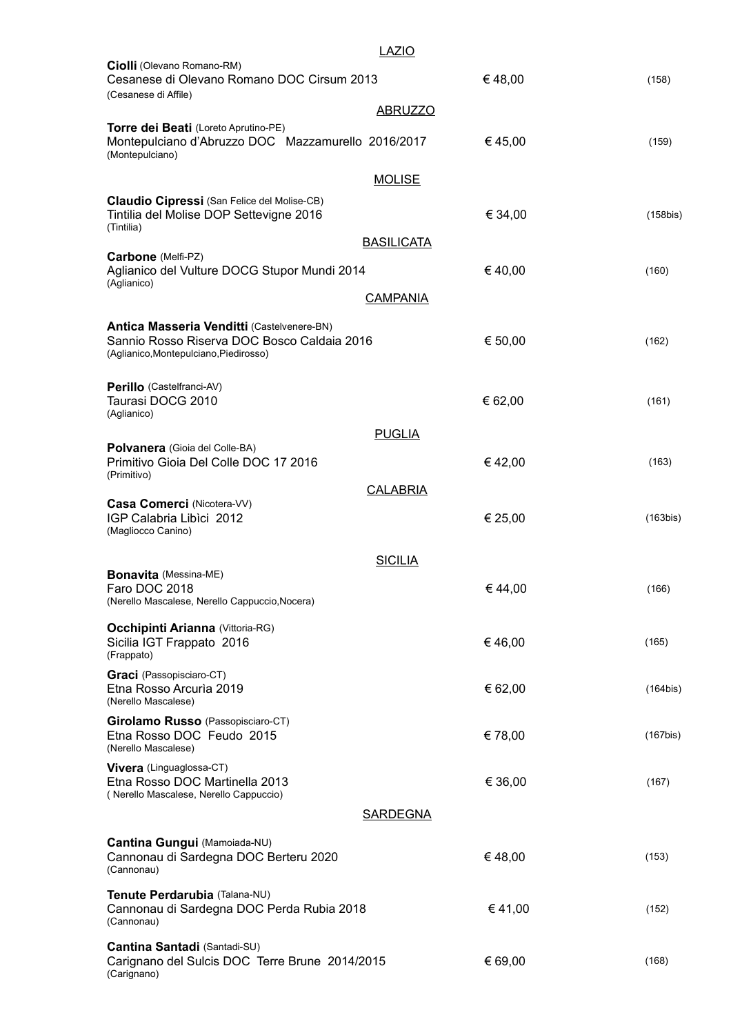|                                                                                                                                     | <b>LAZIO</b>      |         |                |
|-------------------------------------------------------------------------------------------------------------------------------------|-------------------|---------|----------------|
| Ciolli (Olevano Romano-RM)<br>Cesanese di Olevano Romano DOC Cirsum 2013<br>(Cesanese di Affile)                                    |                   | €48,00  | (158)          |
|                                                                                                                                     | <b>ABRUZZO</b>    |         |                |
| Torre dei Beati (Loreto Aprutino-PE)<br>Montepulciano d'Abruzzo DOC Mazzamurello 2016/2017<br>(Montepulciano)                       |                   | € 45,00 | (159)          |
|                                                                                                                                     | <b>MOLISE</b>     |         |                |
| Claudio Cipressi (San Felice del Molise-CB)<br>Tintilia del Molise DOP Settevigne 2016<br>(Tintilia)                                |                   | € 34,00 | $(158$ bis)    |
| Carbone (Melfi-PZ)                                                                                                                  | <b>BASILICATA</b> |         |                |
| Aglianico del Vulture DOCG Stupor Mundi 2014                                                                                        |                   | €40,00  | (160)          |
| (Aglianico)                                                                                                                         | <b>CAMPANIA</b>   |         |                |
| Antica Masseria Venditti (Castelvenere-BN)<br>Sannio Rosso Riserva DOC Bosco Caldaia 2016<br>(Aglianico, Montepulciano, Piedirosso) |                   | € 50,00 | (162)          |
| Perillo (Castelfranci-AV)<br>Taurasi DOCG 2010<br>(Aglianico)                                                                       |                   | € 62,00 | (161)          |
|                                                                                                                                     | <b>PUGLIA</b>     |         |                |
| Polvanera (Gioia del Colle-BA)<br>Primitivo Gioia Del Colle DOC 17 2016<br>(Primitivo)                                              |                   | €42,00  | (163)          |
|                                                                                                                                     | <b>CALABRIA</b>   |         |                |
| Casa Comerci (Nicotera-VV)<br>IGP Calabria Libici 2012<br>(Magliocco Canino)                                                        |                   | € 25,00 | (163bis)       |
|                                                                                                                                     | <b>SICILIA</b>    |         |                |
| <b>Bonavita</b> (Messina-ME)<br>Faro DOC 2018<br>(Nerello Mascalese, Nerello Cappuccio, Nocera)                                     |                   | €44,00  | (166)          |
| <b>Occhipinti Arianna (Vittoria-RG)</b><br>Sicilia IGT Frappato 2016<br>(Frappato)                                                  |                   | €46,00  | (165)          |
| <b>Graci</b> (Passopisciaro-CT)<br>Etna Rosso Arcuria 2019<br>(Nerello Mascalese)                                                   |                   | € 62,00 | (164bis)       |
| Girolamo Russo (Passopisciaro-CT)<br>Etna Rosso DOC Feudo 2015<br>(Nerello Mascalese)                                               |                   | €78,00  | $(167$ bis $)$ |
| <b>Vivera</b> (Linguaglossa-CT)<br>Etna Rosso DOC Martinella 2013<br>(Nerello Mascalese, Nerello Cappuccio)                         |                   | € 36,00 | (167)          |
|                                                                                                                                     | <b>SARDEGNA</b>   |         |                |
| Cantina Gungui (Mamoiada-NU)<br>Cannonau di Sardegna DOC Berteru 2020<br>(Cannonau)                                                 |                   | €48,00  | (153)          |
| Tenute Perdarubia (Talana-NU)<br>Cannonau di Sardegna DOC Perda Rubia 2018<br>(Cannonau)                                            |                   | €41,00  | (152)          |
| Cantina Santadi (Santadi-SU)<br>Carignano del Sulcis DOC Terre Brune 2014/2015<br>(Carignano)                                       |                   | € 69,00 | (168)          |